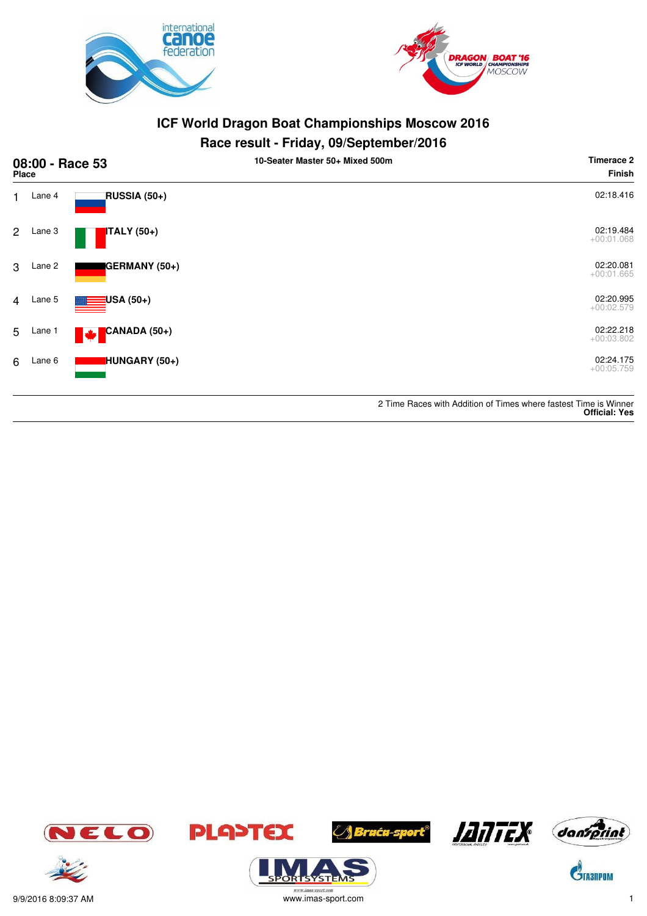



### **Race result - Friday, 09/September/2016**

|                | <b>Place</b> | 08:00 - Race 53          | 10-Seater Master 50+ Mixed 500m | <b>Timerace 2</b><br><b>Finish</b>                               |
|----------------|--------------|--------------------------|---------------------------------|------------------------------------------------------------------|
| 1.             | Lane 4       | RUSSIA (50+)             |                                 | 02:18.416                                                        |
| $\mathbf{2}$   | Lane 3       | <b>ITALY</b> (50+)       |                                 | 02:19.484<br>$+00:01.068$                                        |
| 3              | Lane 2       | GERMANY (50+)            |                                 | 02:20.081<br>$+00:01.665$                                        |
| $\overline{4}$ | Lane 5       | <mark>:</mark> USA (50+) |                                 | 02:20.995<br>$+00:02.579$                                        |
| 5              | Lane 1       | CANADA (50+)<br>M        |                                 | 02:22.218<br>$+00:03.802$                                        |
| 6              | Lane 6       | HUNGARY (50+)            |                                 | 02:24.175<br>$+00:05.759$                                        |
|                |              |                          |                                 | 2 Time Races with Addition of Times where fastest Time is Winner |

**Official: Yes**









**ORISYSTE** 



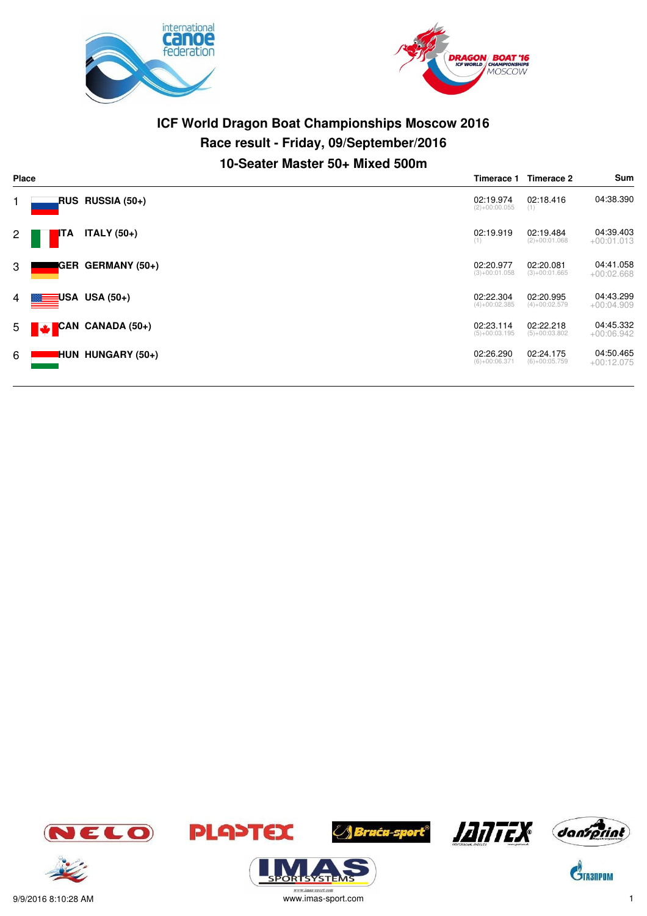



# **ICF World Dragon Boat Championships Moscow 2016 Race result - Friday, 09/September/2016 10-Seater Master 50+ Mixed 500m**

|                | <b>Place</b><br>Timerace 1 |                          |                              | Timerace 2                   | Sum                       |
|----------------|----------------------------|--------------------------|------------------------------|------------------------------|---------------------------|
|                |                            | RUS RUSSIA (50+)         | 02:19.974<br>$(2)+00:00.055$ | 02:18.416<br>(1)             | 04:38.390                 |
| $\overline{2}$ | ITA                        | ITALY $(50+)$            | 02:19.919<br>(1)             | 02:19.484<br>$(2)+00:01.068$ | 04:39.403<br>$+00:01.013$ |
| 3              |                            | <b>GER GERMANY (50+)</b> | 02:20.977<br>$(3)+00:01.058$ | 02:20.081<br>$(3)+00:01.665$ | 04:41.058<br>$+00:02.668$ |
| $4 \mid$       |                            | $\equiv$ USA USA (50+)   | 02:22.304<br>$(4)+00:02.385$ | 02:20.995<br>$(4)+00:02.579$ | 04:43.299<br>$+00:04.909$ |
|                | $5$ $\blacktriangleright$  | CAN CANADA (50+)         | 02:23.114<br>$(5)+00:03.195$ | 02:22.218<br>$(5)+00:03.802$ | 04:45.332<br>$+00:06.942$ |
| 6              |                            | <b>HUN HUNGARY (50+)</b> | 02:26.290<br>$(6)+00:06.371$ | 02:24.175<br>$(6)+00:05.759$ | 04:50.465<br>$+00:12.075$ |



.<br>syste







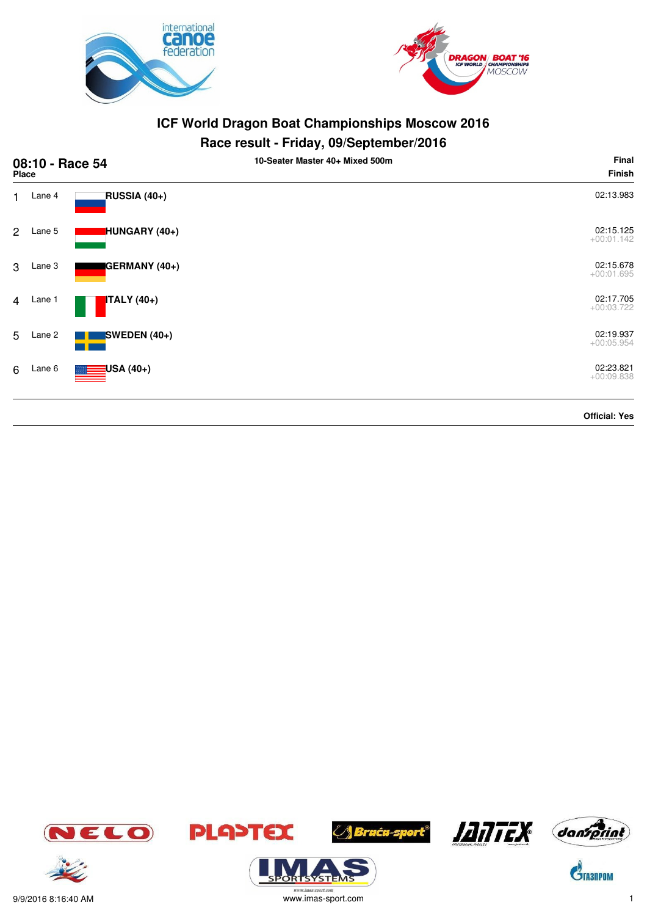



| 08:10 - Race 54<br><b>Place</b> |        |                                | 10-Seater Master 40+ Mixed 500m | Final<br><b>Finish</b>    |
|---------------------------------|--------|--------------------------------|---------------------------------|---------------------------|
| $\mathbf{1}$                    | Lane 4 | RUSSIA (40+)                   |                                 | 02:13.983                 |
| $\mathbf{2}$                    | Lane 5 | HUNGARY (40+)                  |                                 | 02:15.125<br>$+00:01.142$ |
| 3                               | Lane 3 | GERMANY (40+)                  |                                 | 02:15.678<br>$+00:01.695$ |
| $\overline{4}$                  | Lane 1 | <b>ITALY</b> (40+)             |                                 | 02:17.705<br>$+00:03.722$ |
| 5                               | Lane 2 | SWEDEN $(40+)$                 |                                 | 02:19.937<br>$+00:05.954$ |
| 6                               | Lane 6 | <mark>∃</mark> USA (40+)<br>▩▬ |                                 | 02:23.821<br>$+00:09.838$ |
|                                 |        |                                |                                 | <b>Official: Yes</b>      |















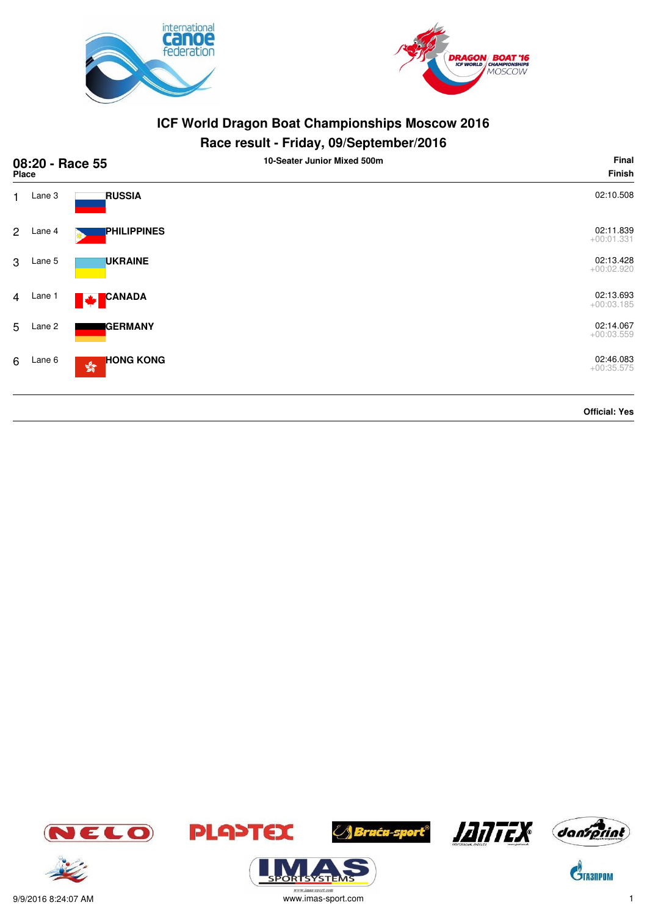



### **Race result - Friday, 09/September/2016**

|                | 08:20 - Race 55<br>Place |                                                   | 10-Seater Junior Mixed 500m | Final<br><b>Finish</b>    |
|----------------|--------------------------|---------------------------------------------------|-----------------------------|---------------------------|
| 1              | Lane 3                   | <b>RUSSIA</b>                                     |                             | 02:10.508                 |
| $\overline{2}$ | Lane 4                   | PHILIPPINES                                       |                             | 02:11.839<br>$+00:01.331$ |
| 3              | Lane 5                   | <b>UKRAINE</b>                                    |                             | 02:13.428<br>$+00:02.920$ |
| $\overline{4}$ | Lane 1                   | <b>CANADA</b><br>M                                |                             | 02:13.693<br>$+00:03.185$ |
| 5              | Lane 2                   | <b>GERMANY</b>                                    |                             | 02:14.067<br>$+00:03.559$ |
| 6              | Lane 6                   | <b>HONG KONG</b><br>$\mathbb{S}^{\mathbb{S}^n}_0$ |                             | 02:46.083<br>$+00:35.575$ |
|                |                          |                                                   |                             | <b>Official: Yes</b>      |

JELO











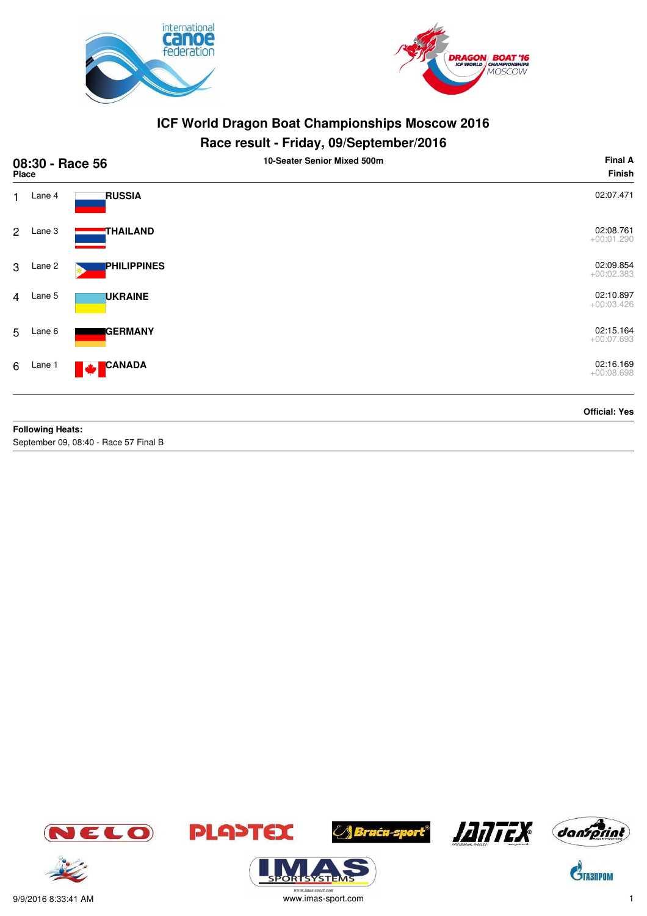



### **Race result - Friday, 09/September/2016**

|                | 08:30 - Race 56<br>Place        |                    | 10-Seater Senior Mixed 500m | <b>Final A</b><br><b>Finish</b> |
|----------------|---------------------------------|--------------------|-----------------------------|---------------------------------|
| 1              | Lane 4                          | <b>RUSSIA</b>      |                             | 02:07.471                       |
| $\overline{2}$ | Lane 3                          | THAILAND           |                             | 02:08.761<br>$+00:01.290$       |
| 3              | Lane 2                          | <b>PHILIPPINES</b> |                             | 02:09.854<br>$+00:02.383$       |
|                | 4 Lane 5                        | <b>UKRAINE</b>     |                             | 02:10.897<br>$+00:03.426$       |
| 5              | Lane 6                          | <b>GERMANY</b>     |                             | 02:15.164<br>$+00:07.693$       |
| 6              | Lane 1                          | CANADA<br><b>M</b> |                             | 02:16.169<br>$+00:08.698$       |
|                | Fig. Householder of the patient |                    |                             | <b>Official: Yes</b>            |

**Following Heats:** September 09, 08:40 - Race 57 Final B













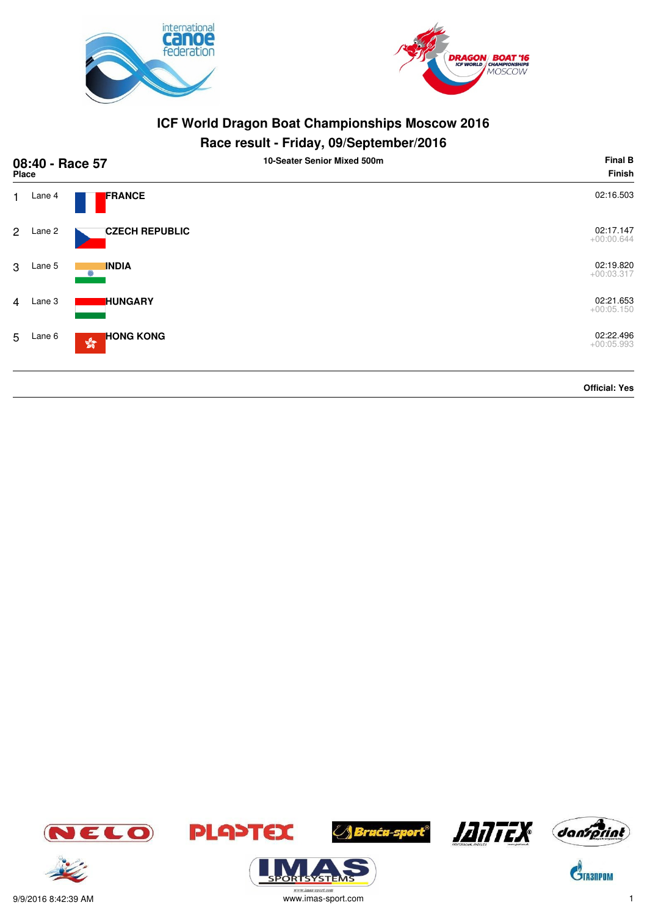



|                | 08:40 - Race 57<br>Place |                                | 10-Seater Senior Mixed 500m | <b>Final B</b><br>Finish  |
|----------------|--------------------------|--------------------------------|-----------------------------|---------------------------|
| $\mathbf{1}$   | Lane 4                   | <b>FRANCE</b>                  |                             | 02:16.503                 |
| $2^{\circ}$    | Lane 2                   | <b>CZECH REPUBLIC</b>          |                             | 02:17.147<br>$+00:00.644$ |
| 3              | Lane 5                   | <b>INDIA</b><br>$\odot$        |                             | 02:19.820<br>$+00:03.317$ |
| $\overline{4}$ | Lane 3                   | <b>HUNGARY</b>                 |                             | 02:21.653<br>$+00:05.150$ |
| 5              | Lane 6                   | <b>HONG KONG</b><br><b>Age</b> |                             | 02:22.496<br>$+00:05.993$ |
|                |                          |                                |                             | <b>Official: Yes</b>      |

















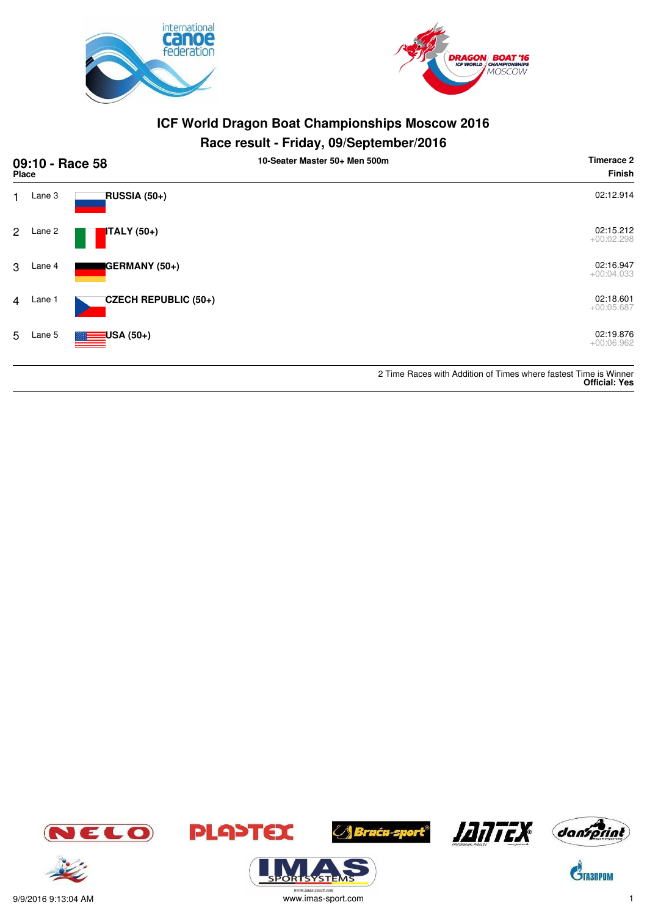



#### **Race result - Friday, 09/September/2016**

| <b>Place</b> |          | 09:10 - Race 58          | 10-Seater Master 50+ Men 500m |                                                                                          |
|--------------|----------|--------------------------|-------------------------------|------------------------------------------------------------------------------------------|
|              | Lane 3   | RUSSIA (50+)             |                               | 02:12.914                                                                                |
|              | 2 Lane 2 | $ITALY(50+)$             |                               | 02:15.212<br>$+00:02.298$                                                                |
| 3            | Lane 4   | <b>GERMANY (50+)</b>     |                               | 02:16.947<br>$+00:04.033$                                                                |
|              | 4 Lane 1 | CZECH REPUBLIC (50+)     |                               | 02:18.601<br>$+00:05.687$                                                                |
| 5            | Lane 5   | $\blacksquare$ USA (50+) |                               | 02:19.876<br>$+00:06.962$                                                                |
|              |          |                          |                               | 2 Time Races with Addition of Times where fastest Time is Winner<br><b>Official: Yes</b> |













ORTSYSTER







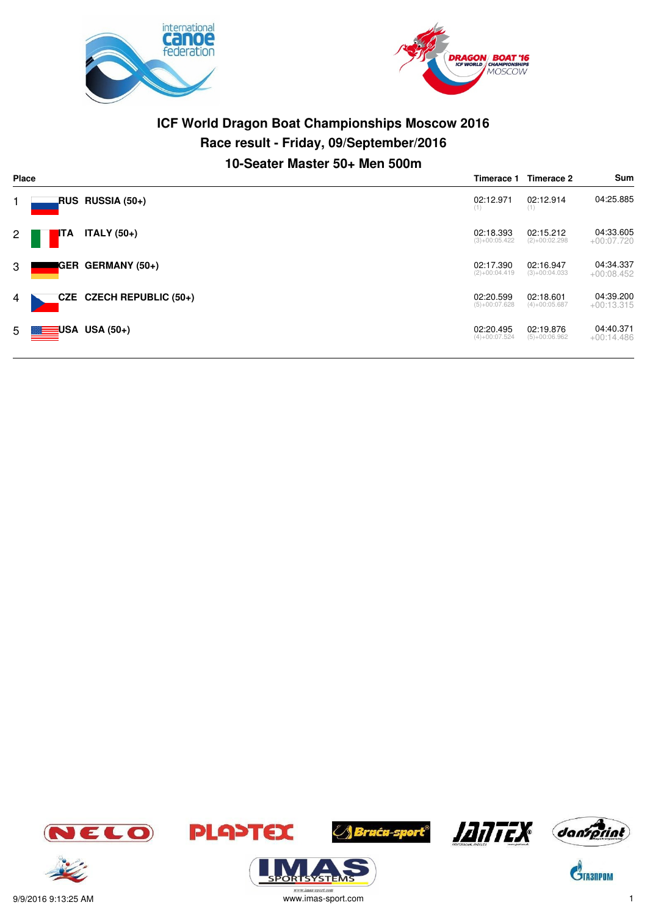



# **ICF World Dragon Boat Championships Moscow 2016 Race result - Friday, 09/September/2016 10-Seater Master 50+ Men 500m**

| Place       | Timerace 1               |                          |                              | Timerace 2                   | Sum                       |
|-------------|--------------------------|--------------------------|------------------------------|------------------------------|---------------------------|
|             |                          | RUS RUSSIA (50+)         | 02:12.971<br>(1)             | 02:12.914<br>(1)             | 04:25.885                 |
| $2^{\circ}$ | <b>I</b> TA              | <b>ITALY</b> (50+)       | 02:18.393<br>$(3)+00:05.422$ | 02:15.212<br>$(2)+00:02.298$ | 04:33.605<br>$+00:07.720$ |
| 3           |                          | GER GERMANY (50+)        | 02:17.390<br>$(2)+00:04.419$ | 02:16.947<br>$(3)+00:04.033$ | 04:34.337<br>$+00:08.452$ |
| 4           |                          | CZE CZECH REPUBLIC (50+) | 02:20.599<br>$(5)+00:07.628$ | 02:18.601<br>$(4)+00:05.687$ | 04:39.200<br>$+00:13.315$ |
|             | $5 \equiv$ USA USA (50+) |                          | 02:20.495<br>$(4)+00:07.524$ | 02:19.876<br>$(5)+00:06.962$ | 04:40.371<br>$+00:14.486$ |















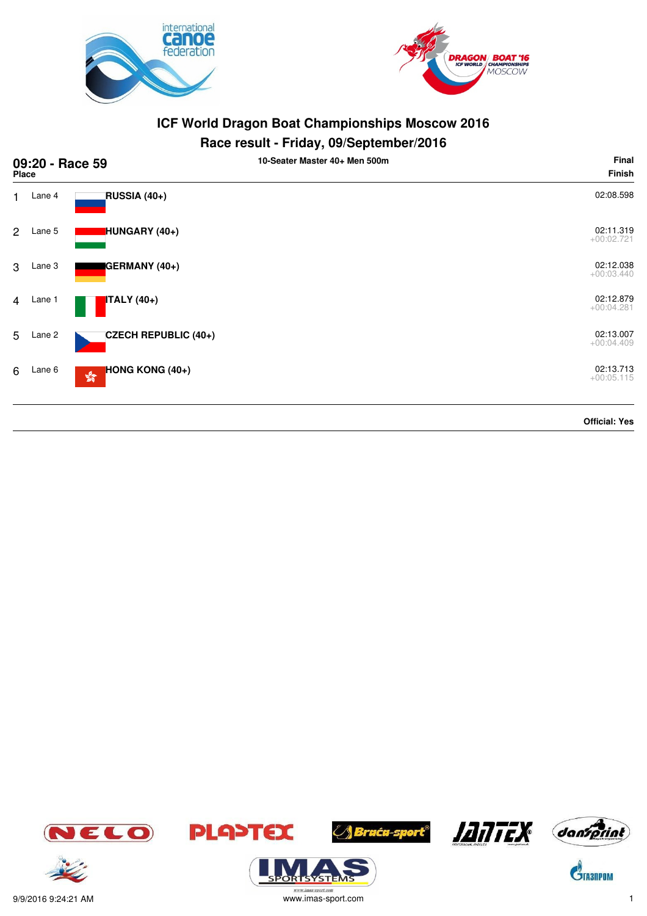



| 09:20 - Race 59<br><b>Place</b> |        |                                                        | 10-Seater Master 40+ Men 500m | Final<br>Finish           |
|---------------------------------|--------|--------------------------------------------------------|-------------------------------|---------------------------|
| $\mathbf 1$                     | Lane 4 | RUSSIA (40+)                                           |                               | 02:08.598                 |
| $\overline{2}$                  | Lane 5 | HUNGARY (40+)                                          |                               | 02:11.319<br>$+00:02.721$ |
| $\mathcal{S}$                   | Lane 3 | GERMANY (40+)                                          |                               | 02:12.038<br>$+00:03.440$ |
| $\overline{4}$                  | Lane 1 | ITALY (40+)                                            |                               | 02:12.879<br>$+00:04.281$ |
| 5                               | Lane 2 | CZECH REPUBLIC (40+)                                   |                               | 02:13.007<br>$+00:04.409$ |
| 6                               | Lane 6 | HONG KONG (40+)<br>$\mathcal{E}^{\text{S}}_{\text{R}}$ |                               | 02:13.713<br>$+00:05.115$ |
|                                 |        |                                                        |                               | <b>Official: Yes</b>      |













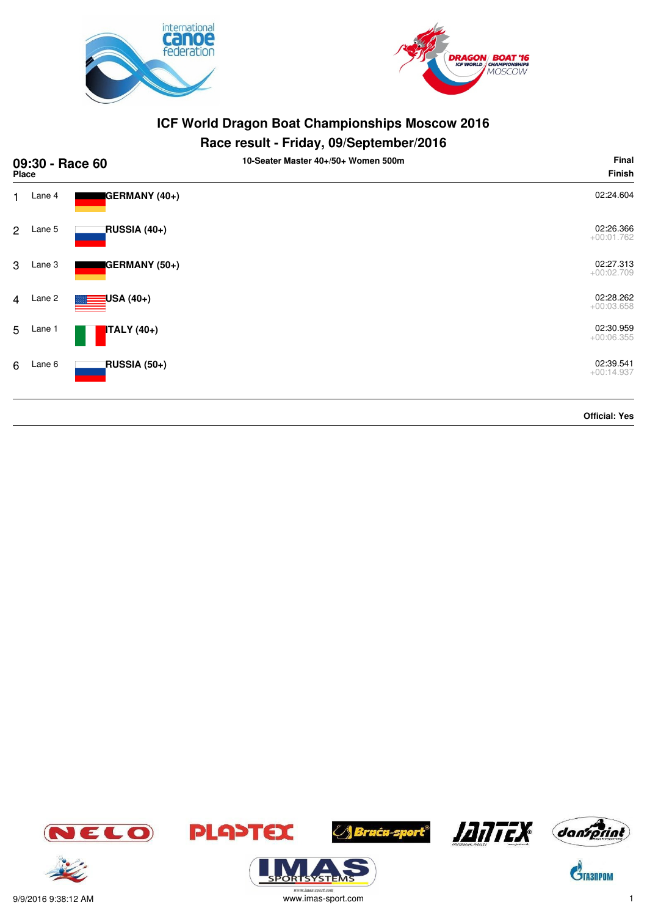



# **Race result - Friday, 09/September/2016**

| 09:30 - Race 60<br>Place |        |                    | 10-Seater Master 40+/50+ Women 500m | Final<br><b>Finish</b>    |
|--------------------------|--------|--------------------|-------------------------------------|---------------------------|
| 1.                       | Lane 4 | GERMANY (40+)      |                                     | 02:24.604                 |
| 2                        | Lane 5 | RUSSIA (40+)       |                                     | 02:26.366<br>$+00:01.762$ |
| 3                        | Lane 3 | GERMANY (50+)      |                                     | 02:27.313<br>$+00:02.709$ |
| $\overline{4}$           | Lane 2 | USA (40+)          |                                     | 02:28.262<br>$+00:03.658$ |
| 5                        | Lane 1 | <b>ITALY</b> (40+) |                                     | 02:30.959<br>$+00:06.355$ |
| 6                        | Lane 6 | RUSSIA (50+)       |                                     | 02:39.541<br>$+00:14.937$ |
|                          |        |                    |                                     | <b>Official: Yes</b>      |







ORTSYSTEMS







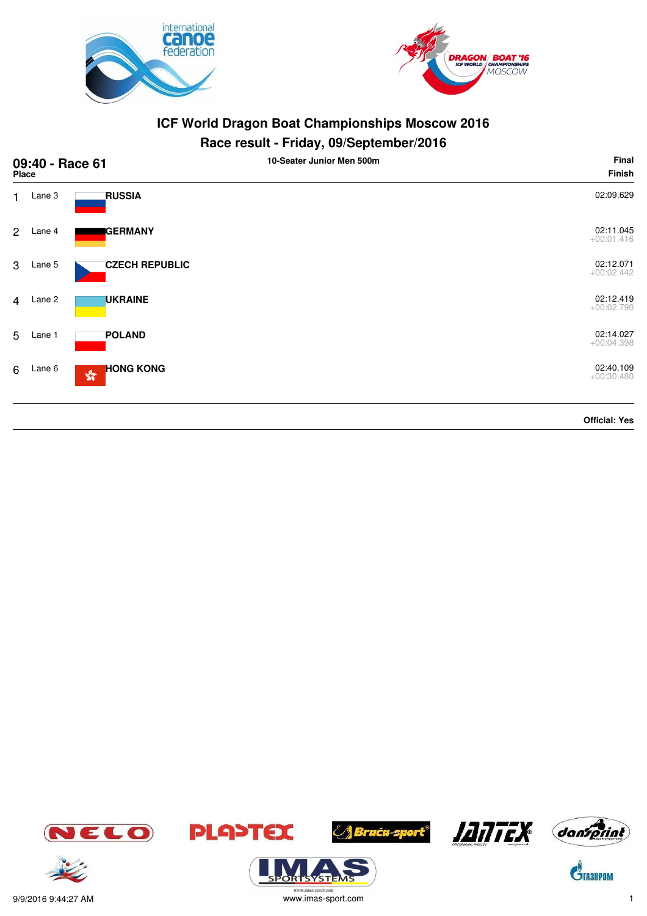



# **Race result - Friday, 09/September/2016**

| 09:40 - Race 61<br>Place |        |                                                   | 10-Seater Junior Men 500m | Final<br>Finish           |
|--------------------------|--------|---------------------------------------------------|---------------------------|---------------------------|
| $\mathbf{1}$             | Lane 3 | <b>RUSSIA</b>                                     |                           | 02:09.629                 |
| $\overline{2}$           | Lane 4 | <b>GERMANY</b>                                    |                           | 02:11.045<br>$+00:01.416$ |
| 3                        | Lane 5 | <b>CZECH REPUBLIC</b>                             |                           | 02:12.071<br>$+00:02.442$ |
| $\overline{4}$           | Lane 2 | <b>UKRAINE</b>                                    |                           | 02:12.419<br>$+00:02.790$ |
| 5                        | Lane 1 | <b>POLAND</b>                                     |                           | 02:14.027<br>$+00:04.398$ |
| 6                        | Lane 6 | <b>HONG KONG</b><br>$\mathbb{S}^{\mathbb{S}^n}_0$ |                           | 02:40.109<br>$+00:30.480$ |
|                          |        |                                                   |                           | <b>Official: Yes</b>      |











 $\mathbf{\hat{S}}$ TA3NPOM



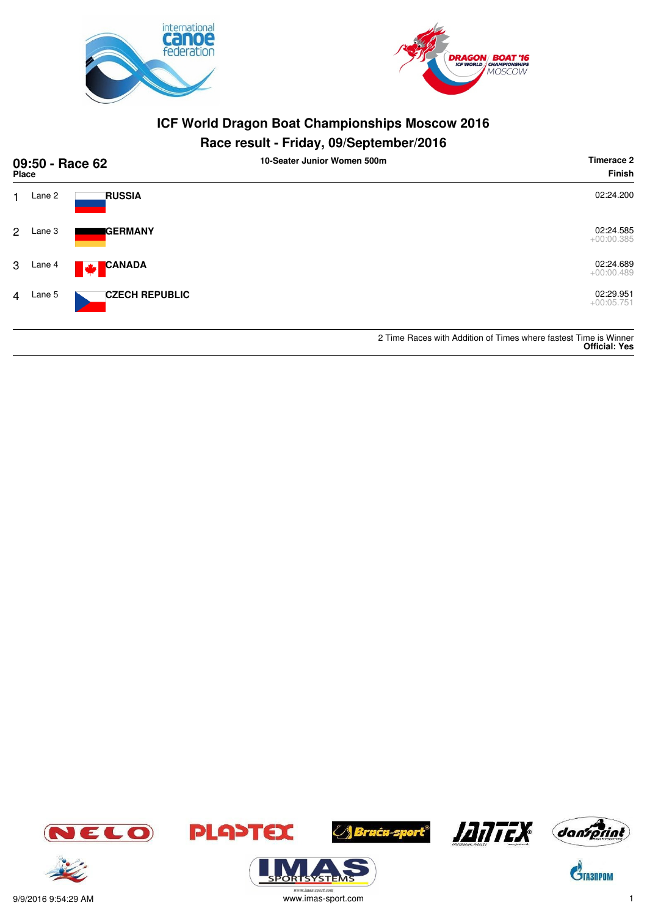



# **Race result - Friday, 09/September/2016**

| 09:50 - Race 62<br>Place |        |                               | 10-Seater Junior Women 500m | Timerace 2<br><b>Finish</b>                                      |
|--------------------------|--------|-------------------------------|-----------------------------|------------------------------------------------------------------|
|                          | Lane 2 | <b>RUSSIA</b>                 |                             | 02:24.200                                                        |
| $\overline{2}$           | Lane 3 | <b>I</b> GERMANY              |                             | 02:24.585<br>$+00:00.385$                                        |
| 3                        | Lane 4 | <b>CANADA</b><br>$\mathbf{v}$ |                             | 02:24.689<br>$+00:00.489$                                        |
| 4                        | Lane 5 | <b>CZECH REPUBLIC</b>         |                             | 02:29.951<br>$+00:05.751$                                        |
|                          |        |                               |                             | 2 Time Races with Addition of Times where fastest Time is Winner |

**Official: Yes**





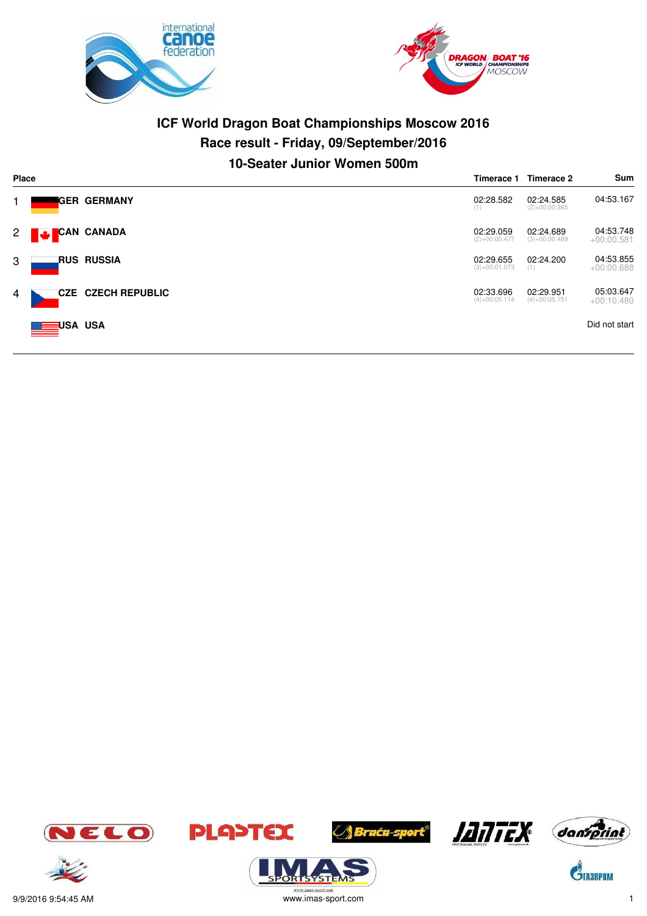



# **ICF World Dragon Boat Championships Moscow 2016 Race result - Friday, 09/September/2016 10-Seater Junior Women 500m**

| <b>Place</b> |                    |                           |                              | Timerace 2                   | Sum                       |
|--------------|--------------------|---------------------------|------------------------------|------------------------------|---------------------------|
| 1.           |                    | IGER GERMANY              | 02:28.582<br>(1)             | 02:24.585<br>$(2)+00:00.385$ | 04:53.167                 |
| $2 \Box$     | CAN CANADA         |                           | 02:29.059<br>$(2)+00:00.477$ | 02:24.689<br>$(3)+00:00.489$ | 04:53.748<br>$+00:00.581$ |
| 3            |                    | RUS RUSSIA                | 02:29.655<br>$(3)+00:01.073$ | 02:24.200<br>(1)             | 04:53.855<br>$+00:00.688$ |
| 4            |                    | <b>CZE CZECH REPUBLIC</b> | 02:33.696<br>$(4)+00:05.114$ | 02:29.951<br>$(4)+00:05.751$ | 05:03.647<br>$+00:10.480$ |
|              | <b>MEDIUSA USA</b> |                           |                              |                              | Did not start             |

















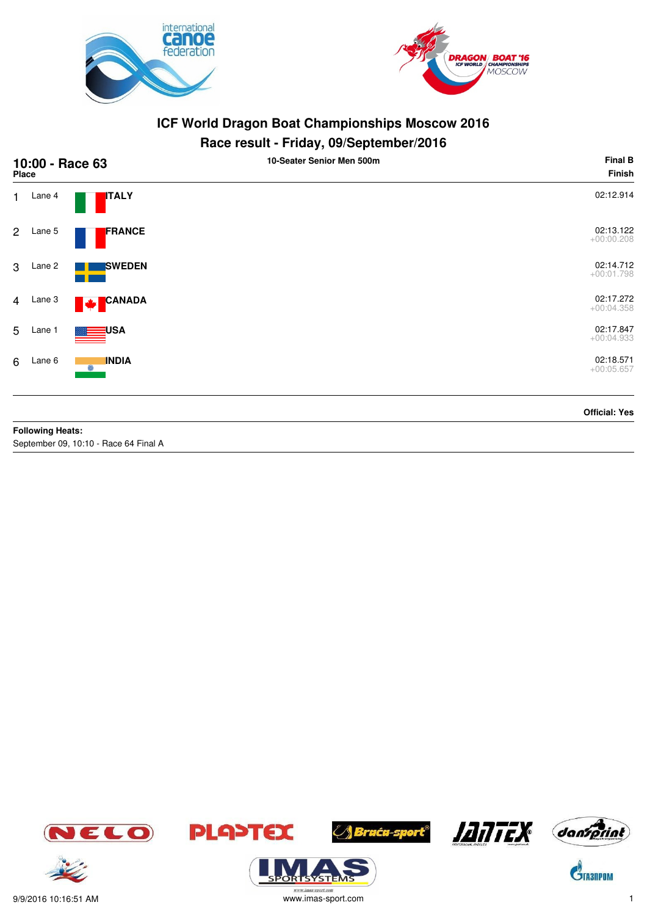



# **Race result - Friday, 09/September/2016**

| 10:00 - Race 63<br><b>Place</b> |                                                |                              | 10-Seater Senior Men 500m | <b>Final B</b><br>Finish  |
|---------------------------------|------------------------------------------------|------------------------------|---------------------------|---------------------------|
| $1 -$                           | Lane 4                                         | <b>ITALY</b>                 |                           | 02:12.914                 |
| $2^{\circ}$                     | Lane 5                                         | FRANCE                       |                           | 02:13.122<br>$+00:00.208$ |
|                                 | 3 Lane 2                                       | <b>SWEDEN</b>                |                           | 02:14.712<br>$+00:01.798$ |
| $\overline{4}$                  | Lane 3                                         | <b>CANADA</b><br><b>PAGE</b> |                           | 02:17.272<br>$+00:04.358$ |
|                                 | 5 Lane 1                                       | <del>ृ</del> ⊟USA            |                           | 02:17.847<br>$+00:04.933$ |
| 6                               | Lane 6                                         | <b>INDIA</b><br>$\odot$      |                           | 02:18.571<br>$+00:05.657$ |
|                                 | <b>Profit and the contract of the state of</b> |                              |                           | <b>Official: Yes</b>      |

**Following Heats:**

September 09, 10:10 - Race 64 Final A











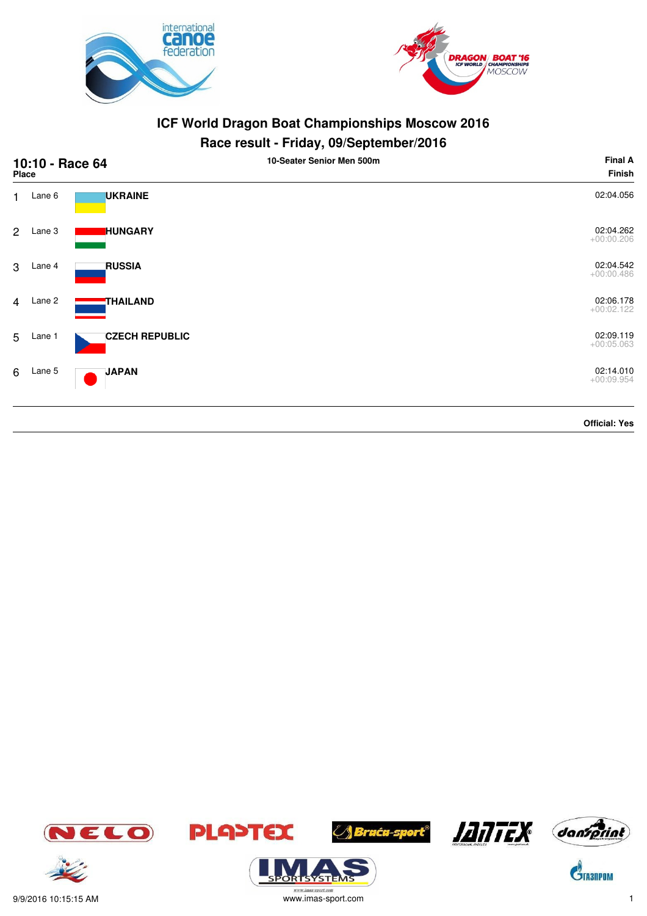



# **Race result - Friday, 09/September/2016**

| 10:10 - Race 64<br>Place |          |                       | 10-Seater Senior Men 500m | <b>Final A</b><br><b>Finish</b> |
|--------------------------|----------|-----------------------|---------------------------|---------------------------------|
| $1 -$                    | Lane 6   | <b>UKRAINE</b>        |                           | 02:04.056                       |
| $2^{\circ}$              | Lane 3   | <b>HUNGARY</b>        |                           | 02:04.262<br>$+00:00.206$       |
| 3                        | Lane 4   | <b>RUSSIA</b>         |                           | 02:04.542<br>$+00:00.486$       |
| $\overline{4}$           | Lane 2   | THAILAND              |                           | 02:06.178<br>$+00:02.122$       |
|                          | 5 Lane 1 | <b>CZECH REPUBLIC</b> |                           | 02:09.119<br>$+00:05.063$       |
| 6                        | Lane 5   | <b>JAPAN</b>          |                           | 02:14.010<br>$+00:09.954$       |
|                          |          |                       |                           | <b>Official: Yes</b>            |

JELO





**ORISYSTE** 







 $\mathbf{\hat{S}}$ TA3NPOM



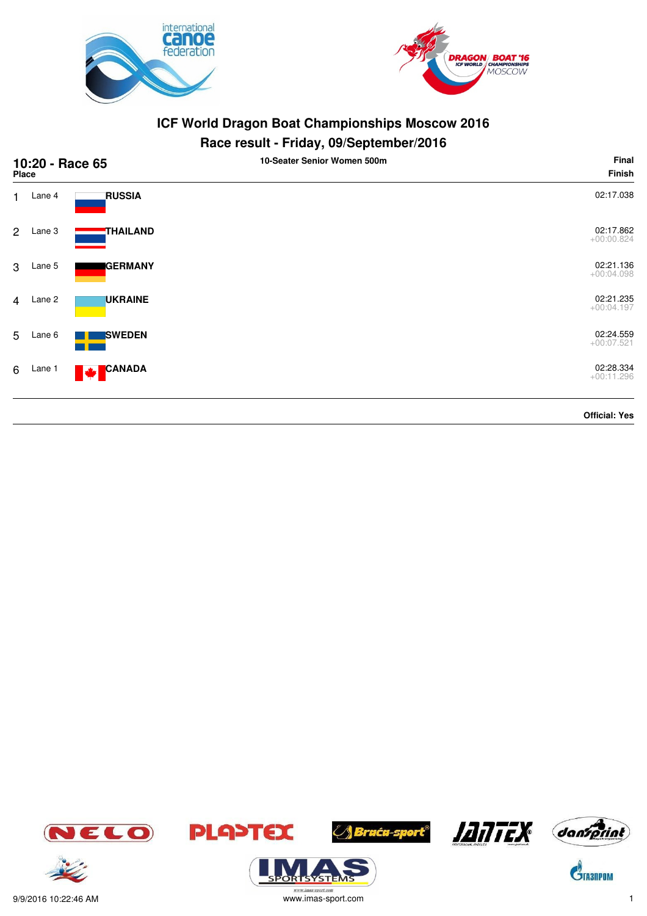



| 10:20 - Race 65<br><b>Place</b> |        |                           | 10-Seater Senior Women 500m | Final<br><b>Finish</b>    |
|---------------------------------|--------|---------------------------|-----------------------------|---------------------------|
| 1.                              | Lane 4 | <b>RUSSIA</b>             |                             | 02:17.038                 |
| $\overline{2}$                  | Lane 3 | THAILAND                  |                             | 02:17.862<br>$+00:00.824$ |
| 3                               | Lane 5 | <b>GERMANY</b>            |                             | 02:21.136<br>$+00:04.098$ |
| $\overline{4}$                  | Lane 2 | <b>UKRAINE</b>            |                             | 02:21.235<br>$+00:04.197$ |
| 5                               | Lane 6 | <b>SWEDEN</b>             |                             | 02:24.559<br>$+00:07.521$ |
| 6                               | Lane 1 | <b>CANADA</b><br><b>W</b> |                             | 02:28.334<br>$+00:11.296$ |
|                                 |        |                           |                             | <b>Official: Yes</b>      |















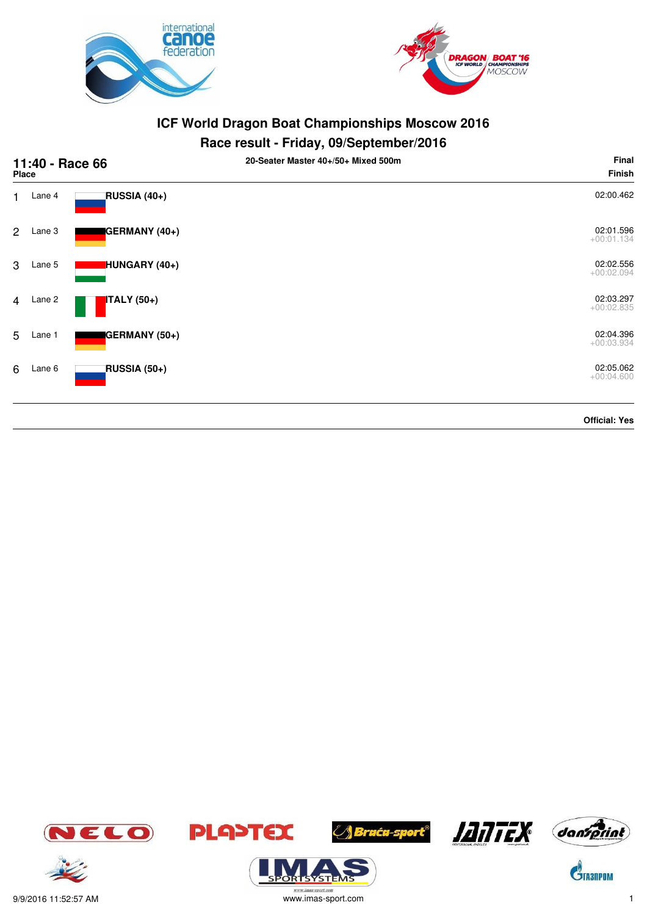



# **Race result - Friday, 09/September/2016**

| 11:40 - Race 66<br>Place |        |                    | 20-Seater Master 40+/50+ Mixed 500m | Final<br><b>Finish</b>    |
|--------------------------|--------|--------------------|-------------------------------------|---------------------------|
| 1                        | Lane 4 | RUSSIA (40+)       |                                     | 02:00.462                 |
| $\overline{2}$           | Lane 3 | GERMANY (40+)      |                                     | 02:01.596<br>$+00:01.134$ |
| 3                        | Lane 5 | HUNGARY (40+)      |                                     | 02:02.556<br>$+00:02.094$ |
| $\overline{4}$           | Lane 2 | <b>ITALY</b> (50+) |                                     | 02:03.297<br>$+00:02.835$ |
| 5                        | Lane 1 | GERMANY (50+)      |                                     | 02:04.396<br>$+00:03.934$ |
| 6                        | Lane 6 | RUSSIA (50+)       |                                     | 02:05.062<br>$+00:04.600$ |
|                          |        |                    |                                     | <b>Official: Yes</b>      |







**ORISYSTE** 









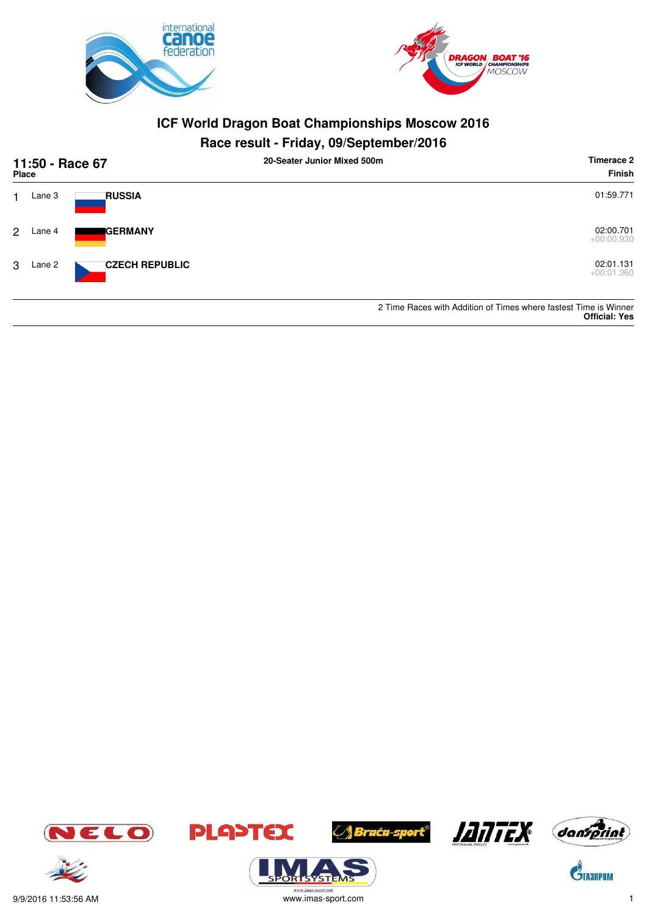



| 11:50 - Race 67<br>Place |        |                       | 20-Seater Junior Mixed 500m | Timerace 2<br>Finish                                                                     |
|--------------------------|--------|-----------------------|-----------------------------|------------------------------------------------------------------------------------------|
|                          | Lane 3 | <b>RUSSIA</b>         |                             | 01:59.771                                                                                |
| 2                        | Lane 4 | <b>IGERMANY</b>       |                             | 02:00.701<br>$+00:00.930$                                                                |
| 3                        | Lane 2 | <b>CZECH REPUBLIC</b> |                             | 02:01.131<br>$+00:01.360$                                                                |
|                          |        |                       |                             | 2 Time Races with Addition of Times where fastest Time is Winner<br><b>Official: Yes</b> |





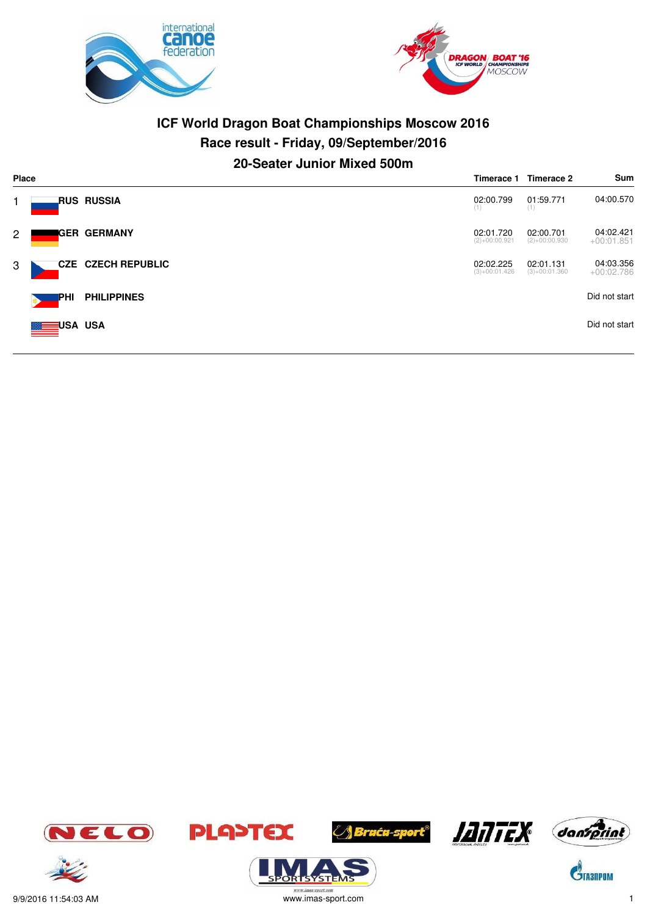



# **ICF World Dragon Boat Championships Moscow 2016 Race result - Friday, 09/September/2016 20-Seater Junior Mixed 500m**

|                | <b>Place</b><br>Timerace 1 |                           |                              | Timerace 2                   | Sum                       |
|----------------|----------------------------|---------------------------|------------------------------|------------------------------|---------------------------|
|                |                            | <b>RUS RUSSIA</b>         | 02:00.799<br>(1)             | 01:59.771<br>(1)             | 04:00.570                 |
| $\overline{2}$ |                            | IGER GERMANY              | 02:01.720<br>$(2)+00:00.921$ | 02:00.701<br>$(2)+00:00.930$ | 04:02.421<br>$+00:01.851$ |
| 3              |                            | <b>CZE CZECH REPUBLIC</b> | 02:02.225<br>$(3)+00:01.426$ | 02:01.131<br>$(3)+00:01.360$ | 04:03.356<br>$+00:02.786$ |
|                | IPHI                       | <b>PHILIPPINES</b>        |                              |                              | Did not start             |
|                | <b>MEDISA USA</b>          |                           |                              |                              | Did not start             |















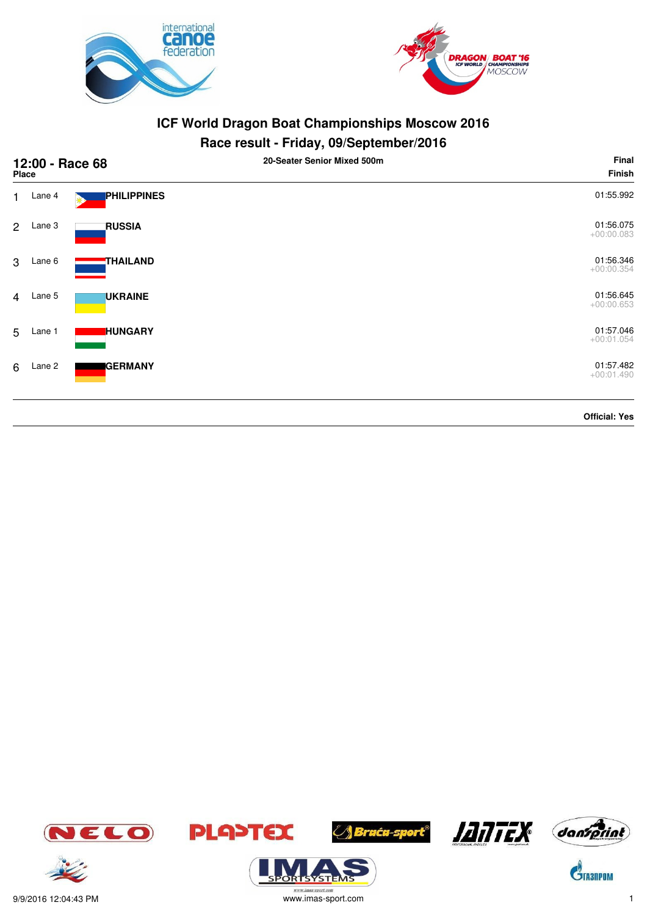



# **Race result - Friday, 09/September/2016**

| 12:00 - Race 68<br><b>Place</b> |          |                 | 20-Seater Senior Mixed 500m | Final<br><b>Finish</b>    |
|---------------------------------|----------|-----------------|-----------------------------|---------------------------|
| 1                               | Lane 4   | PHILIPPINES     |                             | 01:55.992                 |
| $\mathbf{2}$                    | Lane 3   | <b>RUSSIA</b>   |                             | 01:56.075<br>$+00:00.083$ |
| 3                               | Lane 6   | <b>THAILAND</b> |                             | 01:56.346<br>$+00:00.354$ |
|                                 | 4 Lane 5 | <b>UKRAINE</b>  |                             | 01:56.645<br>$+00:00.653$ |
| 5                               | Lane 1   | <b>HUNGARY</b>  |                             | 01:57.046<br>$+00:01.054$ |
| 6                               | Lane 2   | <b>GERMANY</b>  |                             | 01:57.482<br>$+00:01.490$ |
|                                 |          |                 |                             | <b>Official: Yes</b>      |







**ORISYSTE** 







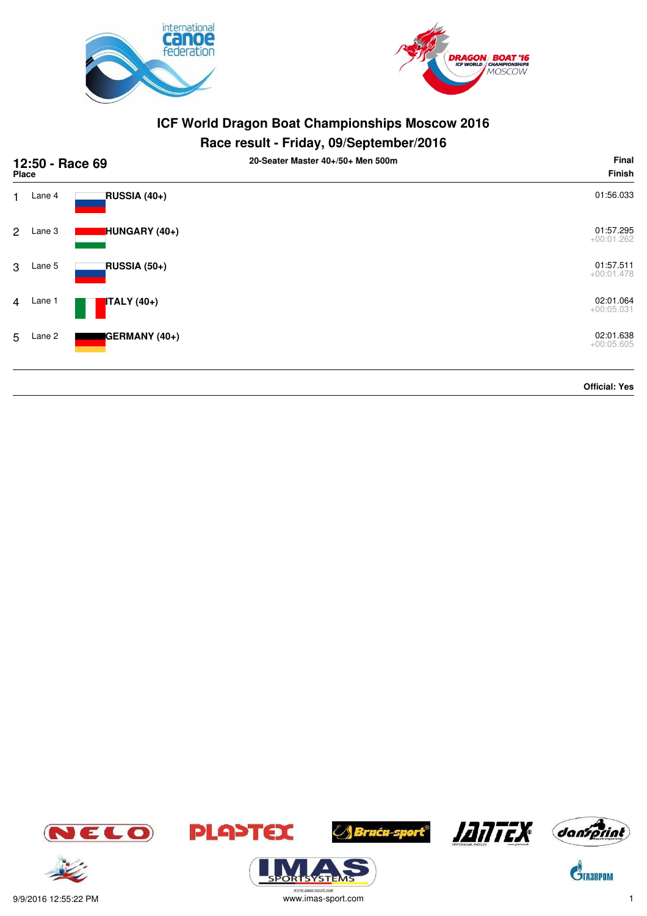



| 12:50 - Race 69<br>Place |        |               | 20-Seater Master 40+/50+ Men 500m | Final<br><b>Finish</b>    |
|--------------------------|--------|---------------|-----------------------------------|---------------------------|
| 1.                       | Lane 4 | RUSSIA (40+)  |                                   | 01:56.033                 |
| $\overline{2}$           | Lane 3 | HUNGARY (40+) |                                   | 01:57.295<br>$+00:01.262$ |
| 3                        | Lane 5 | RUSSIA (50+)  |                                   | 01:57.511<br>$+00:01.478$ |
| $\overline{4}$           | Lane 1 | $ITALY(40+)$  |                                   | 02:01.064<br>$+00:05.031$ |
| 5                        | Lane 2 | GERMANY (40+) |                                   | 02:01.638<br>$+00:05.605$ |
|                          |        |               |                                   | <b>Official: Yes</b>      |













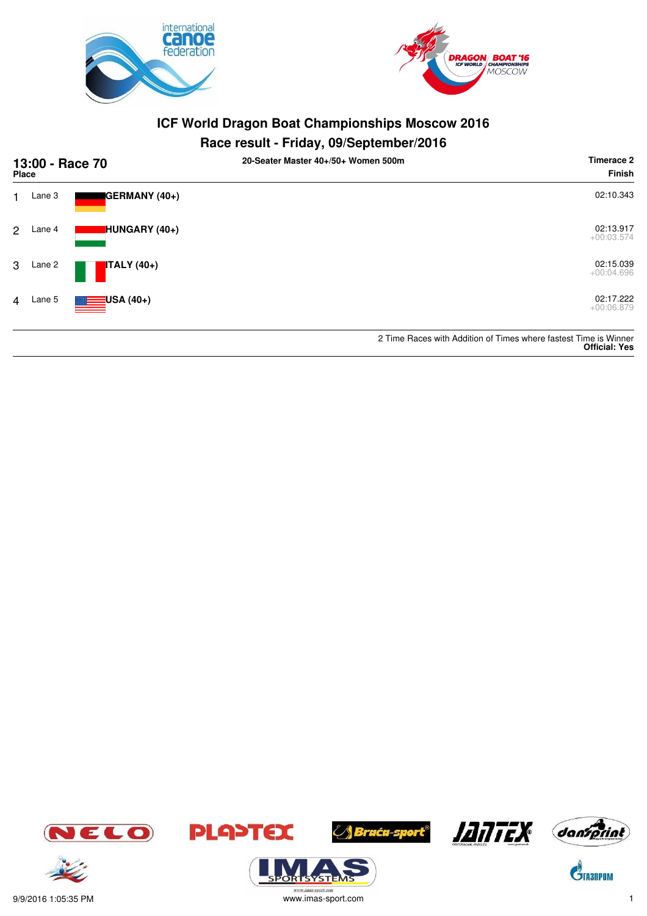



| 13:00 - Race 70<br><b>Place</b> |        |                          | 20-Seater Master 40+/50+ Women 500m | Timerace 2<br><b>Finish</b>                                                              |
|---------------------------------|--------|--------------------------|-------------------------------------|------------------------------------------------------------------------------------------|
| 1                               | Lane 3 | <b>I</b> GERMANY (40+)   |                                     | 02:10.343                                                                                |
| $\overline{2}$                  | Lane 4 | HUNGARY (40+)            |                                     | 02:13.917<br>$+00:03.574$                                                                |
| 3                               | Lane 2 | <b>ITALY</b> (40+)       |                                     | 02:15.039<br>$+00:04.696$                                                                |
| $\overline{4}$                  | Lane 5 | $\blacksquare$ USA (40+) |                                     | 02:17.222<br>$+00:06.879$                                                                |
|                                 |        |                          |                                     | 2 Time Races with Addition of Times where fastest Time is Winner<br><b>Official: Yes</b> |



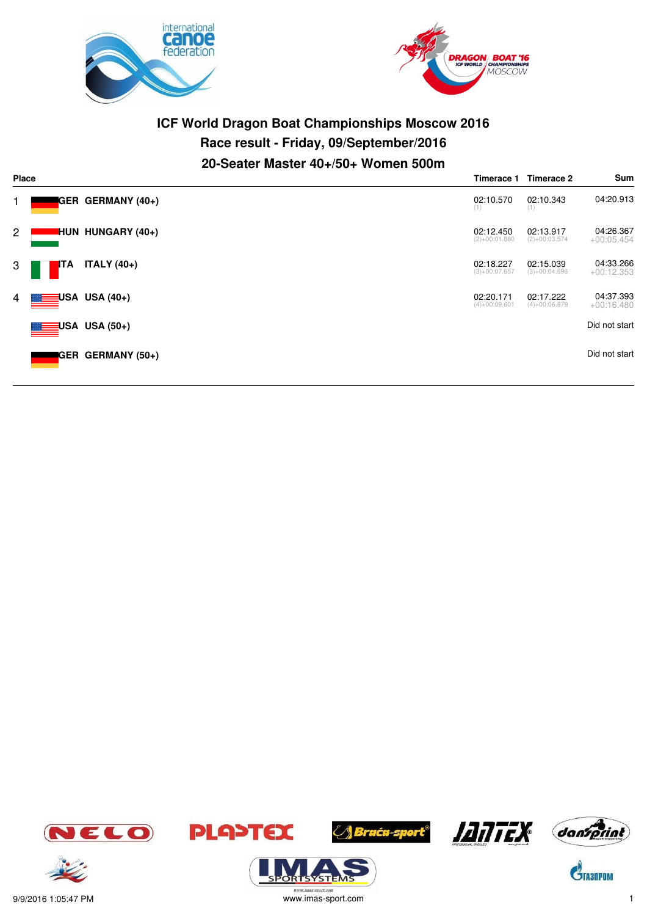



# **ICF World Dragon Boat Championships Moscow 2016 Race result - Friday, 09/September/2016 20-Seater Master 40+/50+ Women 500m**

|              | Place      |                           |                              | Timerace 2                   | Sum                       |
|--------------|------------|---------------------------|------------------------------|------------------------------|---------------------------|
| 1.           |            | GER GERMANY (40+)         | 02:10.570<br>(1)             | 02:10.343<br>(1)             | 04:20.913                 |
| $\mathbf{2}$ |            | <b>HUN HUNGARY (40+)</b>  | 02:12.450<br>$(2)+00:01.880$ | 02:13.917<br>$(2)+00:03.574$ | 04:26.367<br>$+00:05.454$ |
| 3            | <b>ITA</b> | <b>ITALY</b> (40+)        | 02:18.227<br>$(3)+00:07.657$ | 02:15.039<br>$(3)+00:04.696$ | 04:33.266<br>$+00:12.353$ |
| 4            |            | $\equiv$ USA USA (40+)    | 02:20.171<br>$(4)+00:09.601$ | 02:17.222<br>$(4)+00:06.879$ | 04:37.393<br>$+00:16.480$ |
|              |            | USA USA (50+)             |                              |                              | Did not start             |
|              |            | <b>IGER GERMANY (50+)</b> |                              |                              | Did not start             |







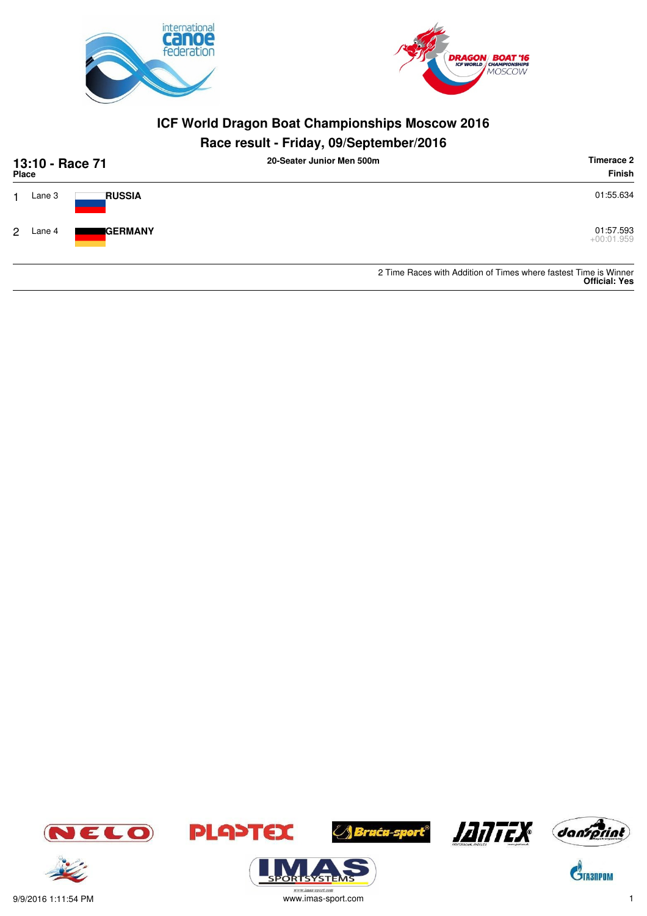



# **Race result - Friday, 09/September/2016**

| 13:10 - Race 71<br>Place |        |                        | 20-Seater Junior Men 500m | Timerace 2<br><b>Finish</b>                                      |
|--------------------------|--------|------------------------|---------------------------|------------------------------------------------------------------|
|                          | Lane 3 | <b>RUSSIA</b>          |                           | 01:55.634                                                        |
| 2                        | Lane 4 | <i><b>I</b>GERMANY</i> |                           | 01:57.593<br>$+00:01.959$                                        |
|                          |        |                        |                           | 2 Time Baces with Addition of Times where fastest Time is Winner |

2 Time Races with Addition of Times where fastest Time is Winner **Official: Yes**





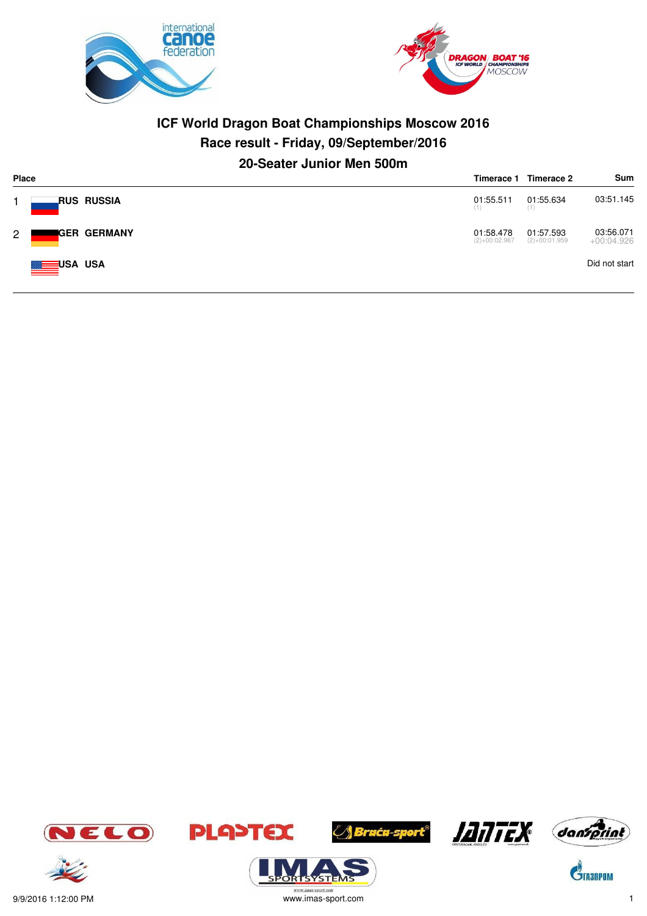



# **ICF World Dragon Boat Championships Moscow 2016 Race result - Friday, 09/September/2016 20-Seater Junior Men 500m**

| <b>Place</b> | Timerace 1 |                      |                              | Timerace 2                   | Sum                       |
|--------------|------------|----------------------|------------------------------|------------------------------|---------------------------|
|              |            | _RUS RUSSIA          | 01:55.511<br>(1)             | 01:55.634<br>(1)             | 03:51.145                 |
| $2^{\circ}$  |            | <b>I</b> GER GERMANY | 01:58.478<br>$(2)+00:02.967$ | 01:57.593<br>$(2)+00:01.959$ | 03:56.071<br>$+00:04.926$ |
|              | USA USA    |                      |                              |                              | Did not start             |







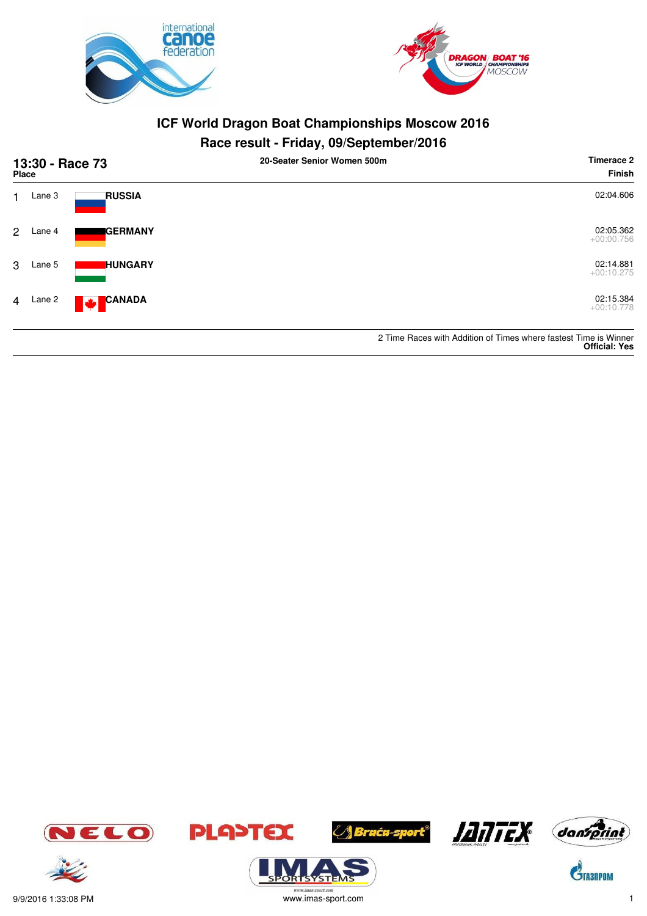



| 13:30 - Race 73<br><b>Place</b> |        |                                        | 20-Seater Senior Women 500m | Timerace 2<br><b>Finish</b>                                                              |
|---------------------------------|--------|----------------------------------------|-----------------------------|------------------------------------------------------------------------------------------|
| 1.                              | Lane 3 | <b>RUSSIA</b>                          |                             | 02:04.606                                                                                |
| 2                               | Lane 4 | <b>I</b> GERMANY                       |                             | 02:05.362<br>$+00:00.756$                                                                |
| 3                               | Lane 5 | <b>HUNGARY</b>                         |                             | 02:14.881<br>$+00:10.275$                                                                |
| $\overline{4}$                  | Lane 2 | <b>CANADA</b><br>$\mathbf{F}^{\prime}$ |                             | 02:15.384<br>$+00:10.778$                                                                |
|                                 |        |                                        |                             | 2 Time Races with Addition of Times where fastest Time is Winner<br><b>Official: Yes</b> |





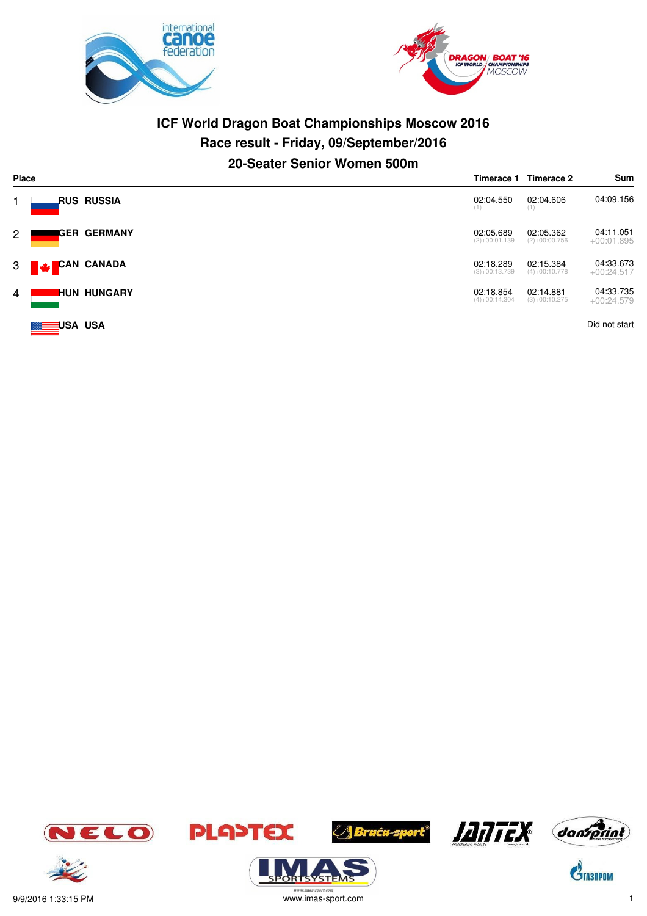



# **ICF World Dragon Boat Championships Moscow 2016 Race result - Friday, 09/September/2016 20-Seater Senior Women 500m**

|                | <b>Place</b>                     | Timerace 1                   | Timerace 2                   | Sum                       |
|----------------|----------------------------------|------------------------------|------------------------------|---------------------------|
|                | RUS RUSSIA.                      | 02:04.550<br>(1)             | 02:04.606<br>(1)             | 04:09.156                 |
| $\overline{2}$ | <b>I</b> GER GERMANY             | 02:05.689<br>$(2)+00:01.139$ | 02:05.362<br>$(2)+00:00.756$ | 04:11.051<br>$+00:01.895$ |
|                | <b>CAN CANADA</b><br>$3 \bullet$ | 02:18.289<br>$(3)+00:13.739$ | 02:15.384<br>$(4)+00:10.778$ | 04:33.673<br>$+00:24.517$ |
| 4              | <b>IHUN HUNGARY</b>              | 02:18.854<br>$(4)+00:14.304$ | 02:14.881<br>$(3)+00:10.275$ | 04:33.735<br>$+00:24.579$ |
|                | <b>MEDIUSA USA</b>               |                              |                              | Did not start             |













 $\mathbf{C}^{\!\!\hat{}}_{\!\!\text{Insub}}$ 



.<br>syste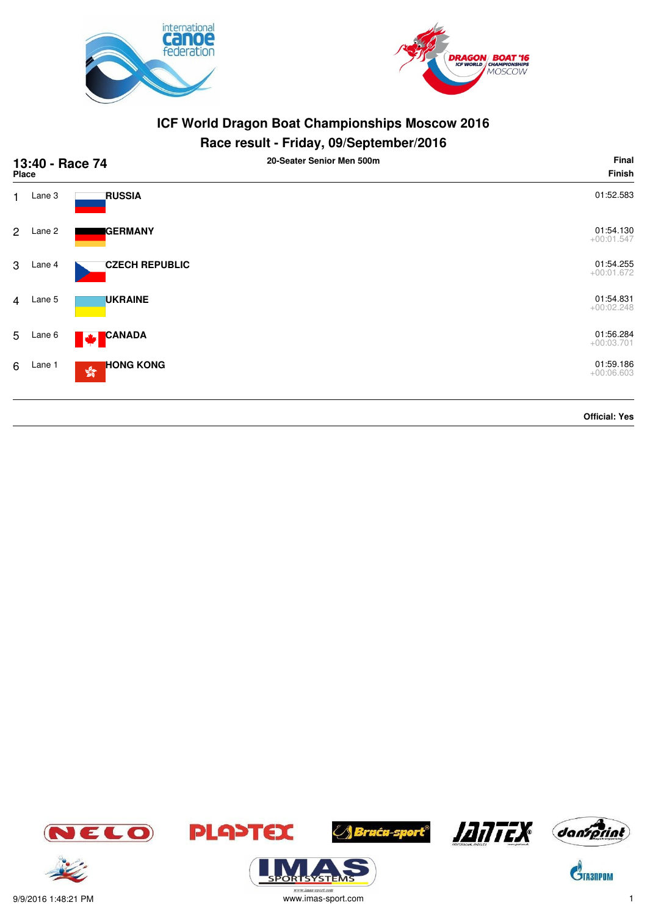



|                | 13:40 - Race 74<br><b>Place</b> |                                                   | 20-Seater Senior Men 500m | Final<br><b>Finish</b>    |
|----------------|---------------------------------|---------------------------------------------------|---------------------------|---------------------------|
| 1              | Lane 3                          | <b>RUSSIA</b>                                     |                           | 01:52.583                 |
| $\mathbf{2}$   | Lane 2                          | <b>GERMANY</b>                                    |                           | 01:54.130<br>$+00:01.547$ |
| 3              | Lane 4                          | <b>CZECH REPUBLIC</b>                             |                           | 01:54.255<br>$+00:01.672$ |
| $\overline{4}$ | Lane 5                          | <b>UKRAINE</b>                                    |                           | 01:54.831<br>$+00:02.248$ |
| 5              | Lane 6                          | CANADA<br><b>W</b>                                |                           | 01:56.284<br>$+00:03.701$ |
| 6              | Lane 1                          | <b>HONG KONG</b><br>$\mathbb{S}^{\mathbb{S}^n}_q$ |                           | 01:59.186<br>$+00:06.603$ |
|                |                                 |                                                   |                           | <b>Official: Yes</b>      |















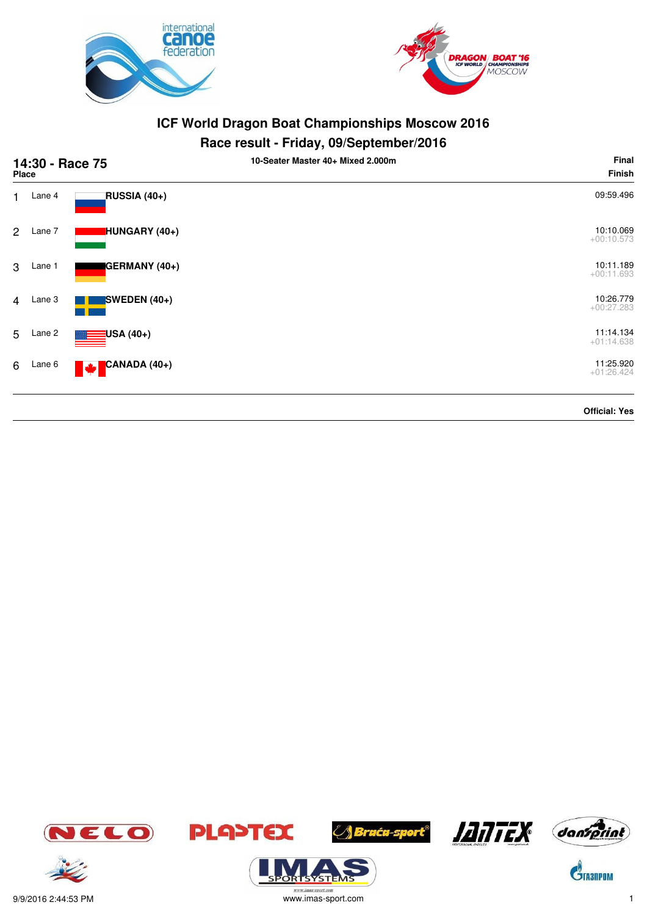



|                | 14:30 - Race 75<br>Place |                          | 10-Seater Master 40+ Mixed 2.000m | Final<br>Finish           |
|----------------|--------------------------|--------------------------|-----------------------------------|---------------------------|
| $\mathbf{1}$   | Lane 4                   | RUSSIA (40+)             |                                   | 09:59.496                 |
| $\overline{2}$ | Lane 7                   | HUNGARY (40+)            |                                   | 10:10.069<br>$+00:10.573$ |
| 3              | Lane 1                   | GERMANY (40+)            |                                   | 10:11.189<br>$+00:11.693$ |
| $\overline{4}$ | Lane 3                   | SWEDEN $(40+)$           |                                   | 10:26.779<br>$+00:27.283$ |
| 5              | Lane 2                   | USA (40+)                |                                   | 11:14.134<br>$+01:14.638$ |
| 6              | Lane 6                   | CANADA (40+)<br><b>W</b> |                                   | 11:25.920<br>$+01:26.424$ |
|                |                          |                          |                                   | <b>Official: Yes</b>      |













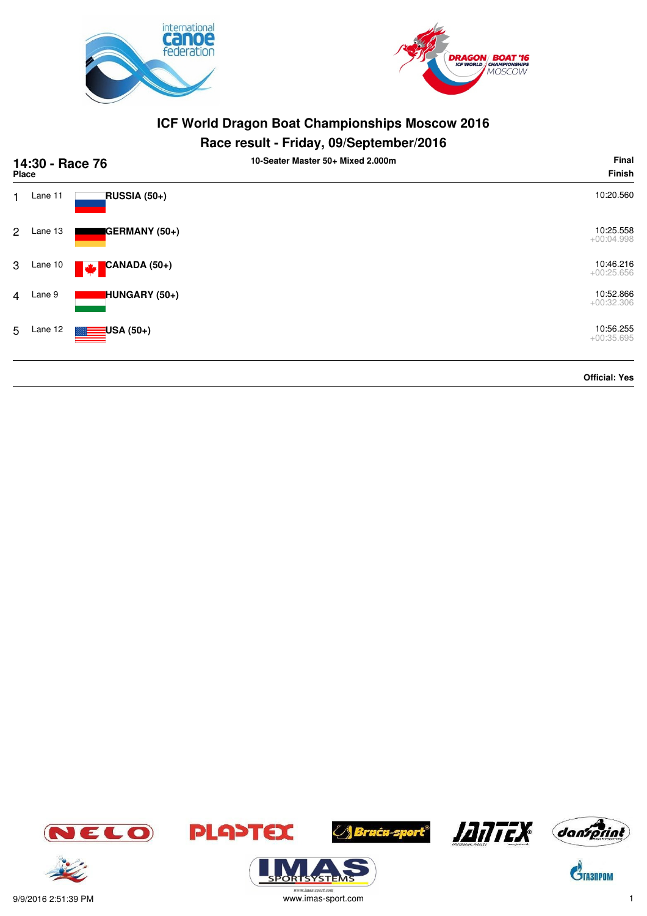



### **Race result - Friday, 09/September/2016**

|                | 14:30 - Race 76<br>Place |                          | 10-Seater Master 50+ Mixed 2.000m | <b>Final</b><br><b>Finish</b> |
|----------------|--------------------------|--------------------------|-----------------------------------|-------------------------------|
| 1              | Lane 11                  | RUSSIA (50+)             |                                   | 10:20.560                     |
| $\overline{2}$ | Lane 13                  | GERMANY (50+)            |                                   | 10:25.558<br>$+00:04.998$     |
| 3              | Lane 10                  | CANADA (50+)<br><b>M</b> |                                   | 10:46.216<br>$+00:25.656$     |
| $\overline{4}$ | Lane 9                   | HUNGARY (50+)            |                                   | 10:52.866<br>$+00:32.306$     |
| 5              | Lane 12                  | $\equiv$ USA (50+)       |                                   | 10:56.255<br>$+00:35.695$     |
|                |                          |                          |                                   | <b>Official: Yes</b>          |





ORTSYSTER









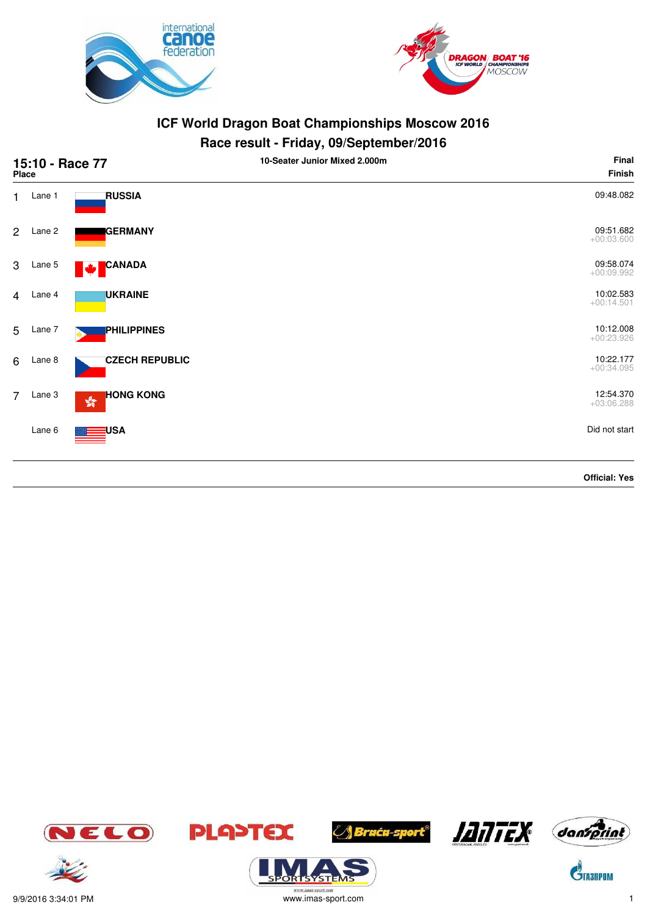



| 15:10 - Race 77<br>Place |          |                                                   | 10-Seater Junior Mixed 2.000m | Final<br><b>Finish</b>    |
|--------------------------|----------|---------------------------------------------------|-------------------------------|---------------------------|
|                          | 1 Lane 1 | <b>RUSSIA</b>                                     |                               | 09:48.082                 |
| $\overline{2}$           | Lane 2   | <b>GERMANY</b>                                    |                               | 09:51.682<br>$+00:03.600$ |
| 3                        | Lane 5   | <b>CANADA</b><br>M                                |                               | 09:58.074<br>$+00:09.992$ |
|                          | 4 Lane 4 | <b>UKRAINE</b>                                    |                               | 10:02.583<br>$+00:14.501$ |
| 5                        | Lane 7   | <b>PHILIPPINES</b>                                |                               | 10:12.008<br>$+00:23.926$ |
| 6                        | Lane 8   | <b>CZECH REPUBLIC</b>                             |                               | 10:22.177<br>$+00:34.095$ |
| $\overline{7}$           | Lane 3   | <b>HONG KONG</b><br>$\mathbb{S}^{\mathbb{S}^n}_q$ |                               | 12:54.370<br>$+03:06.288$ |
|                          | Lane 6   | USA                                               |                               | Did not start             |
|                          |          |                                                   |                               | <b>Official: Yes</b>      |

















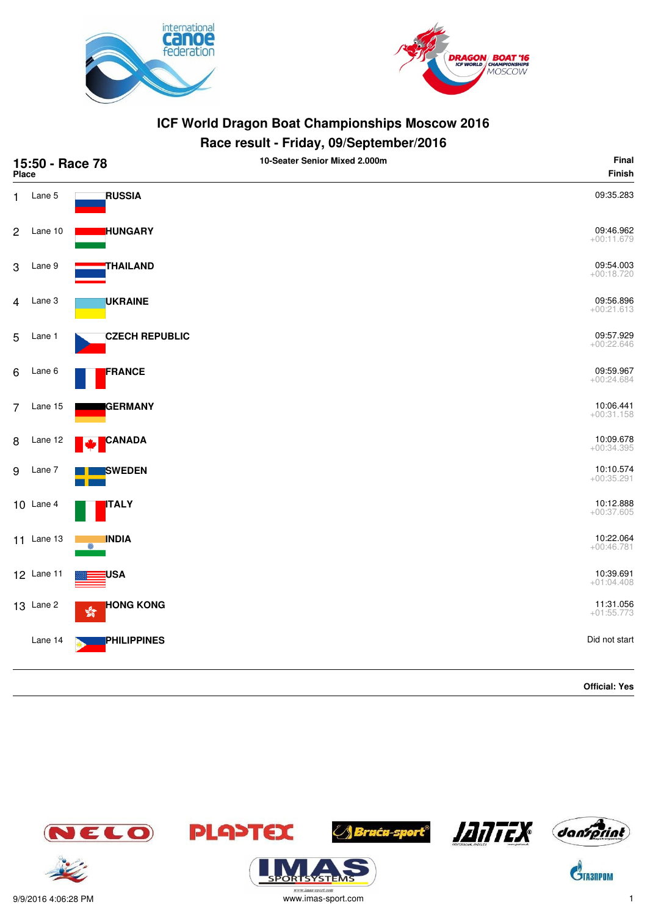



| 15:50 - Race 78<br><b>Place</b> |                  |                                    | 10-Seater Senior Mixed 2.000m | Final<br>Finish           |
|---------------------------------|------------------|------------------------------------|-------------------------------|---------------------------|
| 1                               | Lane 5           | <b>RUSSIA</b>                      |                               | 09:35.283                 |
| $\sqrt{2}$                      | Lane 10          | <b>HUNGARY</b>                     |                               | 09:46.962<br>$+00:11.679$ |
| 3                               | Lane 9           | THAILAND                           |                               | 09:54.003<br>$+00:18.720$ |
| 4                               | Lane 3           | UKRAINE                            |                               | 09:56.896<br>$+00:21.613$ |
| 5                               | Lane 1           | <b>CZECH REPUBLIC</b>              |                               | 09:57.929<br>$+00:22.646$ |
| 6                               | Lane 6           | FRANCE                             |                               | 09:59.967<br>$+00:24.684$ |
| 7                               | Lane 15          | <b>I</b> GERMANY                   |                               | 10:06.441<br>$+00:31.158$ |
| 8                               | Lane 12          | <b>CANADA</b>                      |                               | 10:09.678<br>$+00:34.395$ |
| 9                               | Lane 7           | <b>SWEDEN</b>                      |                               | 10:10.574<br>$+00:35.291$ |
|                                 | $10$ Lane 4      | <b>ITALY</b>                       |                               | 10:12.888<br>$+00:37.605$ |
|                                 | 11 Lane 13       | <b>INDIA</b>                       |                               | 10:22.064<br>$+00:46.781$ |
|                                 | 12 Lane 11       | <b>USA</b>                         |                               | 10:39.691<br>$+01:04.408$ |
|                                 | <b>13</b> Lane 2 | <b>HONG KONG</b><br>$\frac{1}{20}$ |                               | 11:31.056<br>$+01:55.773$ |
|                                 | Lane 14          | PHILIPPINES                        |                               | Did not start             |
|                                 |                  |                                    |                               | <b>Official: Yes</b>      |

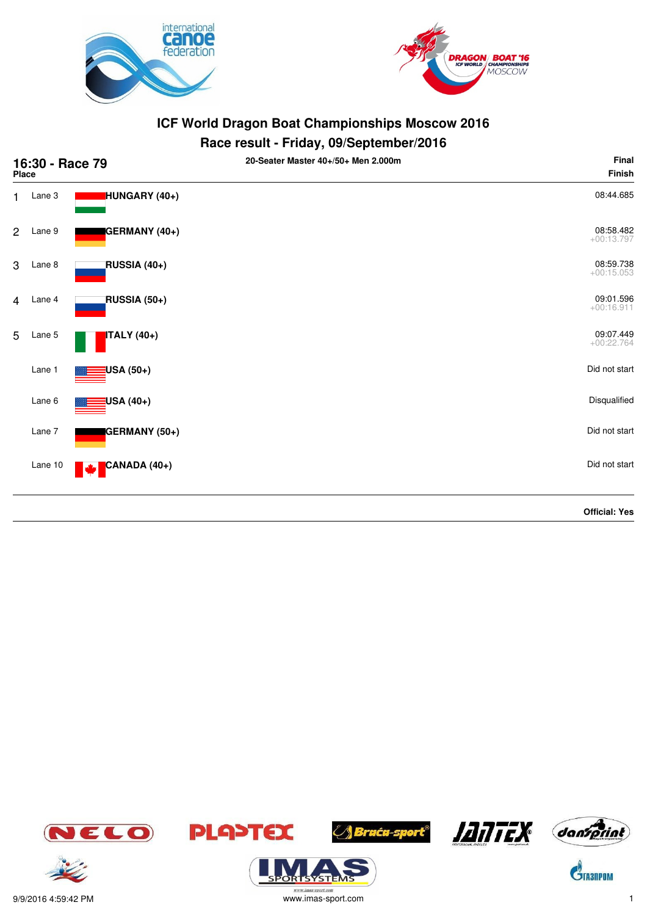



| 16:30 - Race 79<br><b>Place</b> |         |                     | 20-Seater Master 40+/50+ Men 2.000m | Final<br><b>Finish</b>    |
|---------------------------------|---------|---------------------|-------------------------------------|---------------------------|
| 1.                              | Lane 3  | HUNGARY (40+)       |                                     | 08:44.685                 |
| $\overline{2}$                  | Lane 9  | GERMANY (40+)       |                                     | 08:58.482<br>$+00:13.797$ |
| 3                               | Lane 8  | RUSSIA (40+)        |                                     | 08:59.738<br>$+00:15.053$ |
| $\overline{4}$                  | Lane 4  | <b>RUSSIA (50+)</b> |                                     | 09:01.596<br>$+00:16.911$ |
| 5                               | Lane 5  | ITALY (40+)         |                                     | 09:07.449<br>$+00:22.764$ |
|                                 | Lane 1  | USA (50+)           |                                     | Did not start             |
|                                 | Lane 6  | USA (40+)           |                                     | Disqualified              |
|                                 | Lane 7  | GERMANY (50+)       |                                     | Did not start             |
|                                 | Lane 10 | CANADA (40+)<br>M   |                                     | Did not start             |
|                                 |         |                     |                                     | <b>Official: Yes</b>      |





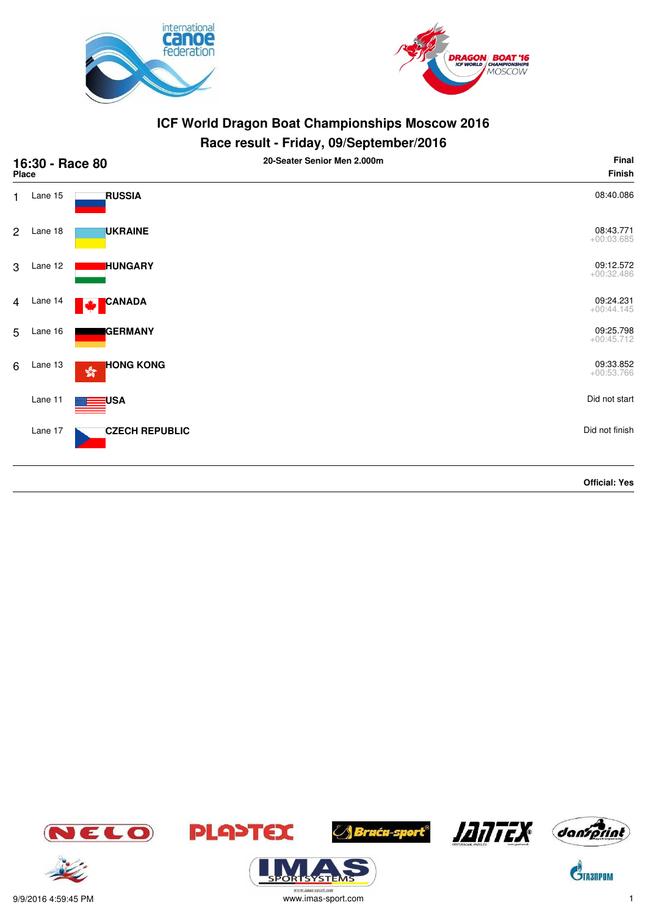



# **Race result - Friday, 09/September/2016**

| 16:30 - Race 80<br>Place |         |                       | 20-Seater Senior Men 2.000m | Final<br><b>Finish</b>    |
|--------------------------|---------|-----------------------|-----------------------------|---------------------------|
| $\mathbf{1}$             | Lane 15 | <b>RUSSIA</b>         |                             | 08:40.086                 |
| $\overline{2}$           | Lane 18 | <b>UKRAINE</b>        |                             | 08:43.771<br>$+00:03.685$ |
| 3                        | Lane 12 | <b>HUNGARY</b>        |                             | 09:12.572<br>$+00:32.486$ |
| 4                        | Lane 14 | CANADA<br>М           |                             | 09:24.231<br>$+00:44.145$ |
| 5                        | Lane 16 | <b>GERMANY</b>        |                             | 09:25.798<br>$+00:45.712$ |
| 6                        | Lane 13 | <b>HONG KONG</b><br>蟾 |                             | 09:33.852<br>$+00:53.766$ |
|                          | Lane 11 | USA                   |                             | Did not start             |
|                          | Lane 17 | <b>CZECH REPUBLIC</b> |                             | Did not finish            |
|                          |         |                       |                             | <b>Official: Yes</b>      |



**ORTSYSTEI** 







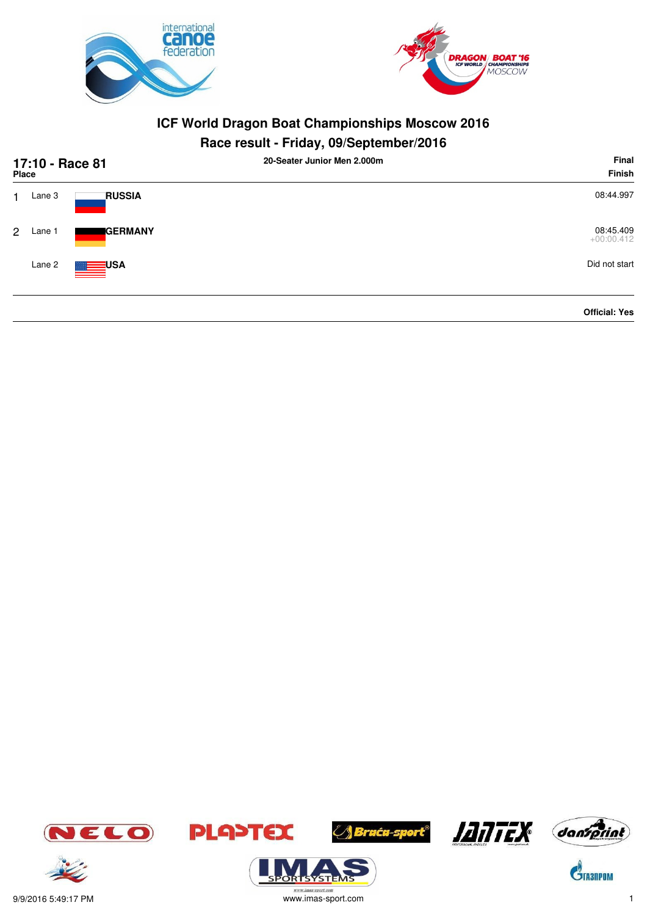



# **Race result - Friday, 09/September/2016**

| 17:10 - Race 81<br><b>Place</b> |        |                  | 20-Seater Junior Men 2.000m | Final<br>Finish           |
|---------------------------------|--------|------------------|-----------------------------|---------------------------|
| 1.                              | Lane 3 | <b>RUSSIA</b>    |                             | 08:44.997                 |
| $\mathcal{P}$                   | Lane 1 | <b>GERMANY</b>   |                             | 08:45.409<br>$+00:00.412$ |
|                                 | Lane 2 | $\mathbf{L}$ USA |                             | Did not start             |
|                                 |        |                  |                             | <b>Official: Yes</b>      |





9/9/2016 5:49:17 PM www.imas-sport.com 1





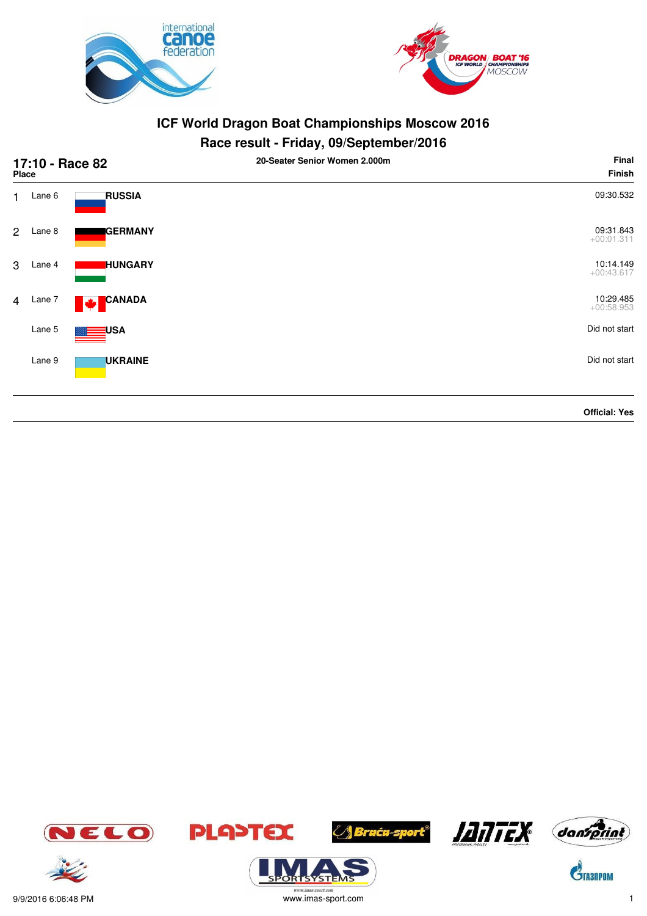



| 17:10 - Race 82<br>Place |        |                           | 20-Seater Senior Women 2.000m | Final<br>Finish           |
|--------------------------|--------|---------------------------|-------------------------------|---------------------------|
| 1.                       | Lane 6 | <b>RUSSIA</b>             |                               | 09:30.532                 |
| $\overline{2}$           | Lane 8 | <b>GERMANY</b>            |                               | 09:31.843<br>$+00:01.311$ |
| 3                        | Lane 4 | <b>HUNGARY</b>            |                               | 10:14.149<br>$+00:43.617$ |
| $\overline{4}$           | Lane 7 | <b>CANADA</b><br><b>A</b> |                               | 10:29.485<br>$+00:58.953$ |
|                          | Lane 5 | <b>USA</b>                |                               | Did not start             |
|                          | Lane 9 | <b>UKRAINE</b>            |                               | Did not start             |
|                          |        |                           |                               | <b>Official: Yes</b>      |















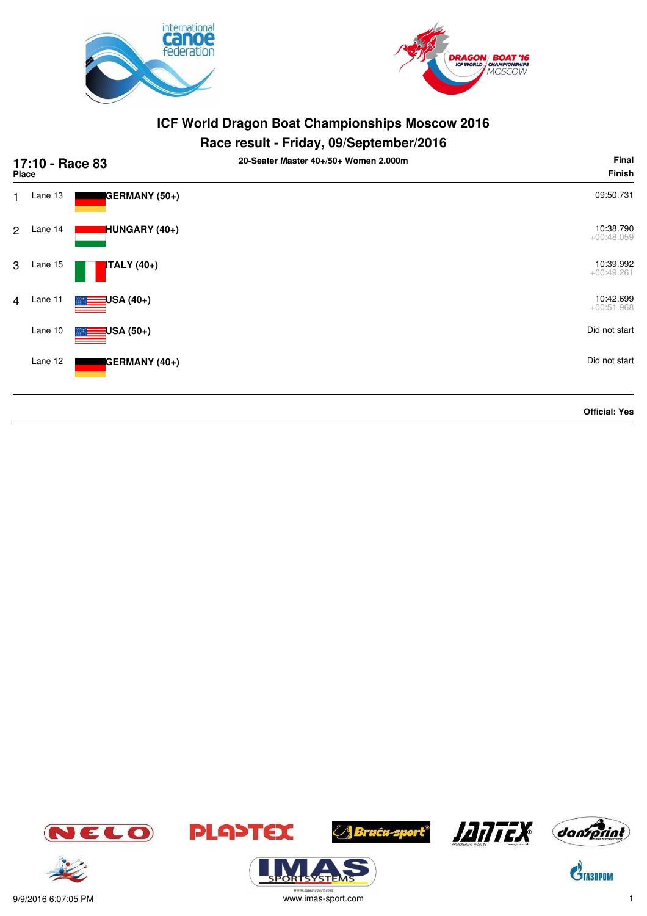



# **Race result - Friday, 09/September/2016**

| 17:10 - Race 83<br><b>Place</b> |         |                          | 20-Seater Master 40+/50+ Women 2.000m | Final<br><b>Finish</b>    |
|---------------------------------|---------|--------------------------|---------------------------------------|---------------------------|
| 1                               | Lane 13 | GERMANY (50+)            |                                       | 09:50.731                 |
| $\overline{2}$                  | Lane 14 | HUNGARY (40+)            |                                       | 10:38.790<br>$+00:48.059$ |
| 3                               | Lane 15 | <b>ITALY</b> (40+)       |                                       | 10:39.992<br>$+00:49.261$ |
| $\overline{4}$                  | Lane 11 | <mark>:</mark> USA (40+) |                                       | 10:42.699<br>$+00:51.968$ |
|                                 | Lane 10 | <mark>∃</mark> USA (50+) |                                       | Did not start             |
|                                 | Lane 12 | GERMANY (40+)            |                                       | Did not start             |
|                                 |         |                          |                                       | <b>Official: Yes</b>      |









**ORTSYSTEM**